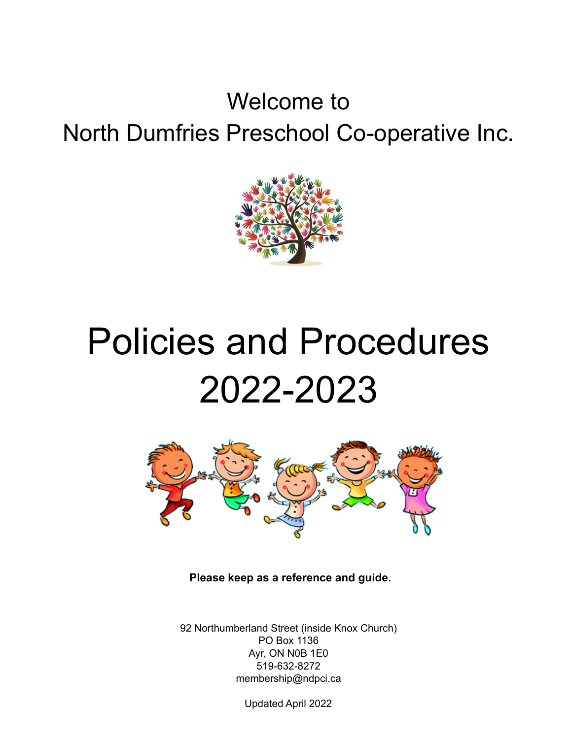# Welcome to North Dumfries Preschool Co-operative Inc.



# Policies and Procedures 2022-2023



**Please keep as a reference and guide.**

92 Northumberland Street (inside Knox Church) PO Box 1136 Ayr, ON N0B 1E0 519-632-8272 membership@ndpci.ca

Updated April 2022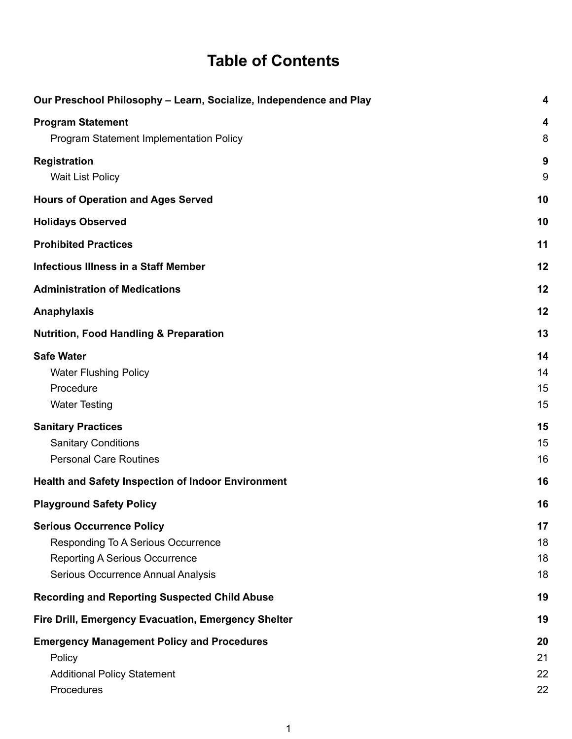### **Table of Contents**

| Our Preschool Philosophy - Learn, Socialize, Independence and Play                                                                                    | $\overline{\mathbf{4}}$      |
|-------------------------------------------------------------------------------------------------------------------------------------------------------|------------------------------|
| <b>Program Statement</b><br>Program Statement Implementation Policy                                                                                   | $\overline{\mathbf{4}}$<br>8 |
| <b>Registration</b><br><b>Wait List Policy</b>                                                                                                        | 9<br>9                       |
| <b>Hours of Operation and Ages Served</b>                                                                                                             | 10                           |
| <b>Holidays Observed</b>                                                                                                                              | 10                           |
| <b>Prohibited Practices</b>                                                                                                                           | 11                           |
| <b>Infectious Illness in a Staff Member</b>                                                                                                           | 12                           |
| <b>Administration of Medications</b>                                                                                                                  | 12                           |
| <b>Anaphylaxis</b>                                                                                                                                    | 12                           |
| <b>Nutrition, Food Handling &amp; Preparation</b>                                                                                                     | 13                           |
| <b>Safe Water</b><br><b>Water Flushing Policy</b><br>Procedure<br><b>Water Testing</b>                                                                | 14<br>14<br>15<br>15         |
| <b>Sanitary Practices</b><br><b>Sanitary Conditions</b><br><b>Personal Care Routines</b>                                                              | 15<br>15<br>16               |
| <b>Health and Safety Inspection of Indoor Environment</b>                                                                                             | 16                           |
| <b>Playground Safety Policy</b>                                                                                                                       | 16                           |
| <b>Serious Occurrence Policy</b><br>Responding To A Serious Occurrence<br><b>Reporting A Serious Occurrence</b><br>Serious Occurrence Annual Analysis | 17<br>18<br>18<br>18         |
| <b>Recording and Reporting Suspected Child Abuse</b>                                                                                                  | 19                           |
| Fire Drill, Emergency Evacuation, Emergency Shelter                                                                                                   | 19                           |
| <b>Emergency Management Policy and Procedures</b><br>Policy<br><b>Additional Policy Statement</b><br>Procedures                                       | 20<br>21<br>22<br>22         |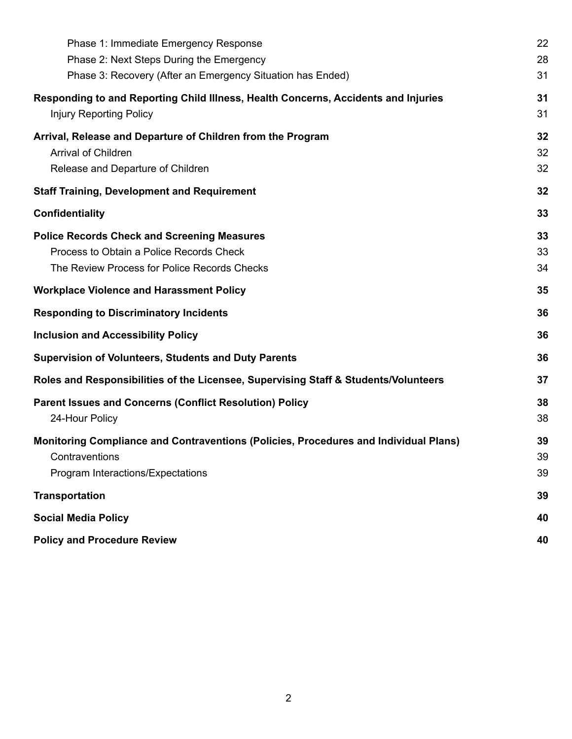| Phase 1: Immediate Emergency Response                                                       | 22 |
|---------------------------------------------------------------------------------------------|----|
| Phase 2: Next Steps During the Emergency                                                    | 28 |
| Phase 3: Recovery (After an Emergency Situation has Ended)                                  | 31 |
| Responding to and Reporting Child Illness, Health Concerns, Accidents and Injuries          | 31 |
| <b>Injury Reporting Policy</b>                                                              | 31 |
| Arrival, Release and Departure of Children from the Program                                 | 32 |
| <b>Arrival of Children</b>                                                                  | 32 |
| Release and Departure of Children                                                           | 32 |
| <b>Staff Training, Development and Requirement</b>                                          | 32 |
| Confidentiality                                                                             | 33 |
| <b>Police Records Check and Screening Measures</b>                                          | 33 |
| Process to Obtain a Police Records Check                                                    | 33 |
| The Review Process for Police Records Checks                                                | 34 |
| <b>Workplace Violence and Harassment Policy</b>                                             | 35 |
| <b>Responding to Discriminatory Incidents</b>                                               | 36 |
| <b>Inclusion and Accessibility Policy</b>                                                   | 36 |
| <b>Supervision of Volunteers, Students and Duty Parents</b>                                 | 36 |
| Roles and Responsibilities of the Licensee, Supervising Staff & Students/Volunteers         | 37 |
| <b>Parent Issues and Concerns (Conflict Resolution) Policy</b>                              | 38 |
| 24-Hour Policy                                                                              | 38 |
| <b>Monitoring Compliance and Contraventions (Policies, Procedures and Individual Plans)</b> | 39 |
| Contraventions                                                                              | 39 |
| Program Interactions/Expectations                                                           | 39 |
| <b>Transportation</b>                                                                       | 39 |
| <b>Social Media Policy</b>                                                                  | 40 |
| <b>Policy and Procedure Review</b>                                                          | 40 |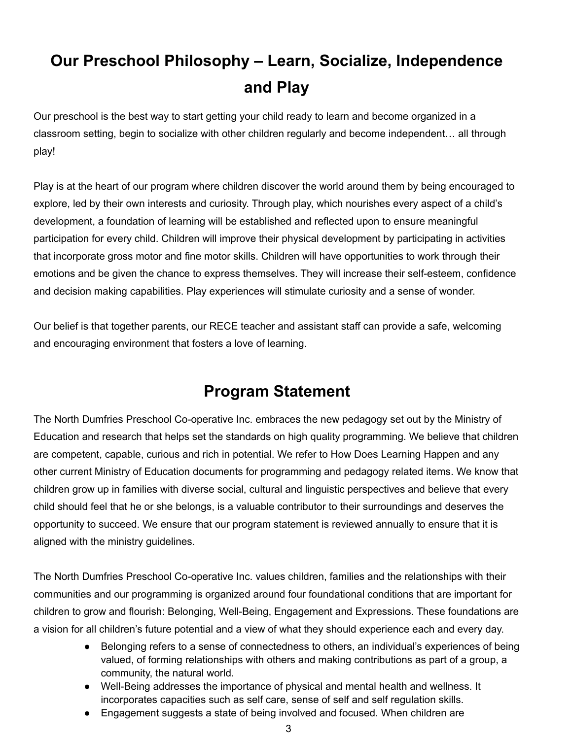# **Our Preschool Philosophy – Learn, Socialize, Independence and Play**

<span id="page-3-0"></span>Our preschool is the best way to start getting your child ready to learn and become organized in a classroom setting, begin to socialize with other children regularly and become independent… all through play!

Play is at the heart of our program where children discover the world around them by being encouraged to explore, led by their own interests and curiosity. Through play, which nourishes every aspect of a child's development, a foundation of learning will be established and reflected upon to ensure meaningful participation for every child. Children will improve their physical development by participating in activities that incorporate gross motor and fine motor skills. Children will have opportunities to work through their emotions and be given the chance to express themselves. They will increase their self-esteem, confidence and decision making capabilities. Play experiences will stimulate curiosity and a sense of wonder.

Our belief is that together parents, our RECE teacher and assistant staff can provide a safe, welcoming and encouraging environment that fosters a love of learning.

### **Program Statement**

<span id="page-3-1"></span>The North Dumfries Preschool Co-operative Inc. embraces the new pedagogy set out by the Ministry of Education and research that helps set the standards on high quality programming. We believe that children are competent, capable, curious and rich in potential. We refer to How Does Learning Happen and any other current Ministry of Education documents for programming and pedagogy related items. We know that children grow up in families with diverse social, cultural and linguistic perspectives and believe that every child should feel that he or she belongs, is a valuable contributor to their surroundings and deserves the opportunity to succeed. We ensure that our program statement is reviewed annually to ensure that it is aligned with the ministry guidelines.

The North Dumfries Preschool Co-operative Inc. values children, families and the relationships with their communities and our programming is organized around four foundational conditions that are important for children to grow and flourish: Belonging, Well-Being, Engagement and Expressions. These foundations are a vision for all children's future potential and a view of what they should experience each and every day.

- Belonging refers to a sense of connectedness to others, an individual's experiences of being valued, of forming relationships with others and making contributions as part of a group, a community, the natural world.
- Well-Being addresses the importance of physical and mental health and wellness. It incorporates capacities such as self care, sense of self and self regulation skills.
- Engagement suggests a state of being involved and focused. When children are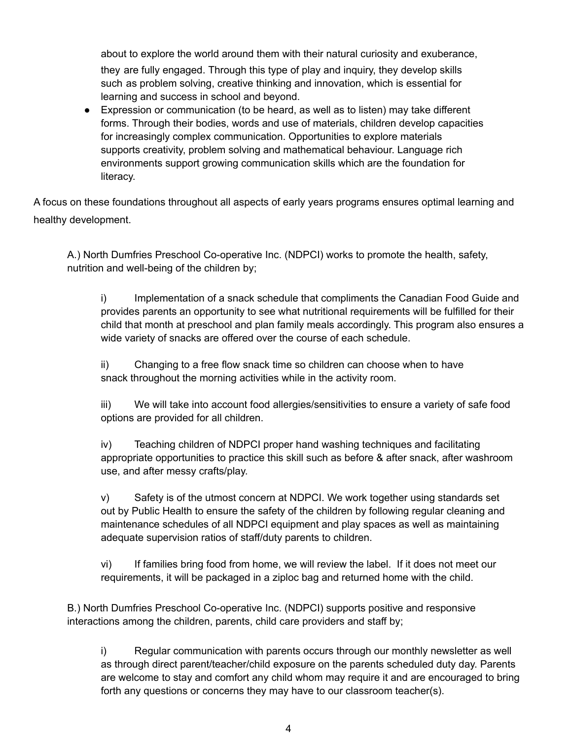about to explore the world around them with their natural curiosity and exuberance, they are fully engaged. Through this type of play and inquiry, they develop skills such as problem solving, creative thinking and innovation, which is essential for learning and success in school and beyond.

● Expression or communication (to be heard, as well as to listen) may take different forms. Through their bodies, words and use of materials, children develop capacities for increasingly complex communication. Opportunities to explore materials supports creativity, problem solving and mathematical behaviour. Language rich environments support growing communication skills which are the foundation for literacy.

A focus on these foundations throughout all aspects of early years programs ensures optimal learning and healthy development.

A.) North Dumfries Preschool Co-operative Inc. (NDPCI) works to promote the health, safety, nutrition and well-being of the children by;

i) Implementation of a snack schedule that compliments the Canadian Food Guide and provides parents an opportunity to see what nutritional requirements will be fulfilled for their child that month at preschool and plan family meals accordingly. This program also ensures a wide variety of snacks are offered over the course of each schedule.

ii) Changing to a free flow snack time so children can choose when to have snack throughout the morning activities while in the activity room.

iii) We will take into account food allergies/sensitivities to ensure a variety of safe food options are provided for all children.

iv) Teaching children of NDPCI proper hand washing techniques and facilitating appropriate opportunities to practice this skill such as before & after snack, after washroom use, and after messy crafts/play.

v) Safety is of the utmost concern at NDPCI. We work together using standards set out by Public Health to ensure the safety of the children by following regular cleaning and maintenance schedules of all NDPCI equipment and play spaces as well as maintaining adequate supervision ratios of staff/duty parents to children.

vi) If families bring food from home, we will review the label. If it does not meet our requirements, it will be packaged in a ziploc bag and returned home with the child.

B.) North Dumfries Preschool Co-operative Inc. (NDPCI) supports positive and responsive interactions among the children, parents, child care providers and staff by;

i) Regular communication with parents occurs through our monthly newsletter as well as through direct parent/teacher/child exposure on the parents scheduled duty day. Parents are welcome to stay and comfort any child whom may require it and are encouraged to bring forth any questions or concerns they may have to our classroom teacher(s).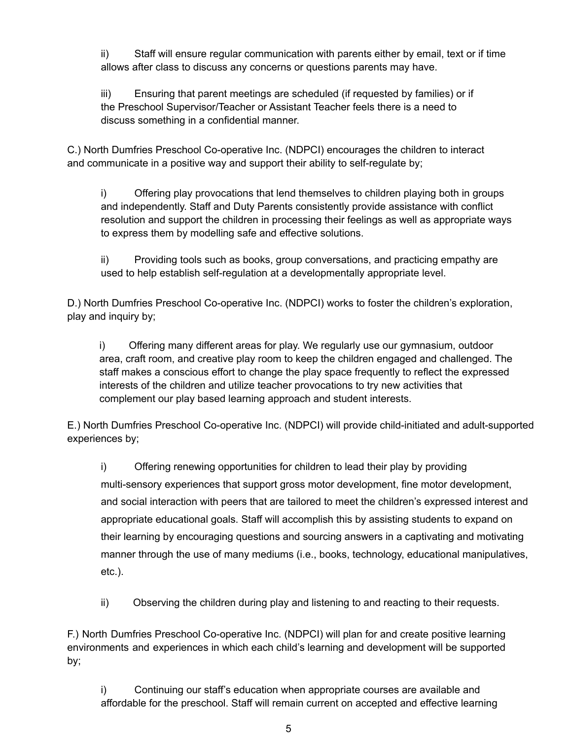ii) Staff will ensure regular communication with parents either by email, text or if time allows after class to discuss any concerns or questions parents may have.

iii) Ensuring that parent meetings are scheduled (if requested by families) or if the Preschool Supervisor/Teacher or Assistant Teacher feels there is a need to discuss something in a confidential manner.

C.) North Dumfries Preschool Co-operative Inc. (NDPCI) encourages the children to interact and communicate in a positive way and support their ability to self-regulate by;

i) Offering play provocations that lend themselves to children playing both in groups and independently. Staff and Duty Parents consistently provide assistance with conflict resolution and support the children in processing their feelings as well as appropriate ways to express them by modelling safe and effective solutions.

ii) Providing tools such as books, group conversations, and practicing empathy are used to help establish self-regulation at a developmentally appropriate level.

D.) North Dumfries Preschool Co-operative Inc. (NDPCI) works to foster the children's exploration, play and inquiry by;

i) Offering many different areas for play. We regularly use our gymnasium, outdoor area, craft room, and creative play room to keep the children engaged and challenged. The staff makes a conscious effort to change the play space frequently to reflect the expressed interests of the children and utilize teacher provocations to try new activities that complement our play based learning approach and student interests.

E.) North Dumfries Preschool Co-operative Inc. (NDPCI) will provide child-initiated and adult-supported experiences by;

i) Offering renewing opportunities for children to lead their play by providing multi-sensory experiences that support gross motor development, fine motor development, and social interaction with peers that are tailored to meet the children's expressed interest and appropriate educational goals. Staff will accomplish this by assisting students to expand on their learning by encouraging questions and sourcing answers in a captivating and motivating manner through the use of many mediums (i.e., books, technology, educational manipulatives, etc.).

ii) Observing the children during play and listening to and reacting to their requests.

F.) North Dumfries Preschool Co-operative Inc. (NDPCI) will plan for and create positive learning environments and experiences in which each child's learning and development will be supported by;

i) Continuing our staff's education when appropriate courses are available and affordable for the preschool. Staff will remain current on accepted and effective learning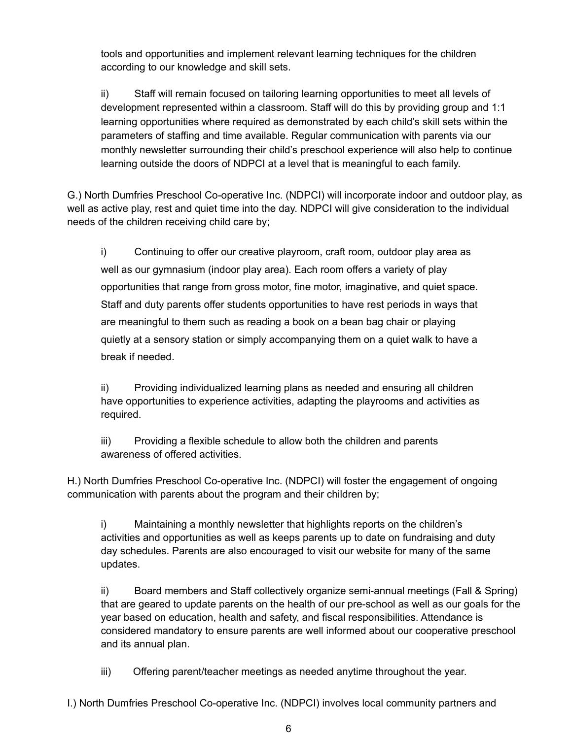tools and opportunities and implement relevant learning techniques for the children according to our knowledge and skill sets.

ii) Staff will remain focused on tailoring learning opportunities to meet all levels of development represented within a classroom. Staff will do this by providing group and 1:1 learning opportunities where required as demonstrated by each child's skill sets within the parameters of staffing and time available. Regular communication with parents via our monthly newsletter surrounding their child's preschool experience will also help to continue learning outside the doors of NDPCI at a level that is meaningful to each family.

G.) North Dumfries Preschool Co-operative Inc. (NDPCI) will incorporate indoor and outdoor play, as well as active play, rest and quiet time into the day. NDPCI will give consideration to the individual needs of the children receiving child care by;

i) Continuing to offer our creative playroom, craft room, outdoor play area as well as our gymnasium (indoor play area). Each room offers a variety of play opportunities that range from gross motor, fine motor, imaginative, and quiet space. Staff and duty parents offer students opportunities to have rest periods in ways that are meaningful to them such as reading a book on a bean bag chair or playing quietly at a sensory station or simply accompanying them on a quiet walk to have a break if needed.

ii) Providing individualized learning plans as needed and ensuring all children have opportunities to experience activities, adapting the playrooms and activities as required.

iii) Providing a flexible schedule to allow both the children and parents awareness of offered activities.

H.) North Dumfries Preschool Co-operative Inc. (NDPCI) will foster the engagement of ongoing communication with parents about the program and their children by;

i) Maintaining a monthly newsletter that highlights reports on the children's activities and opportunities as well as keeps parents up to date on fundraising and duty day schedules. Parents are also encouraged to visit our website for many of the same updates.

ii) Board members and Staff collectively organize semi-annual meetings (Fall & Spring) that are geared to update parents on the health of our pre-school as well as our goals for the year based on education, health and safety, and fiscal responsibilities. Attendance is considered mandatory to ensure parents are well informed about our cooperative preschool and its annual plan.

iii) Offering parent/teacher meetings as needed anytime throughout the year.

I.) North Dumfries Preschool Co-operative Inc. (NDPCI) involves local community partners and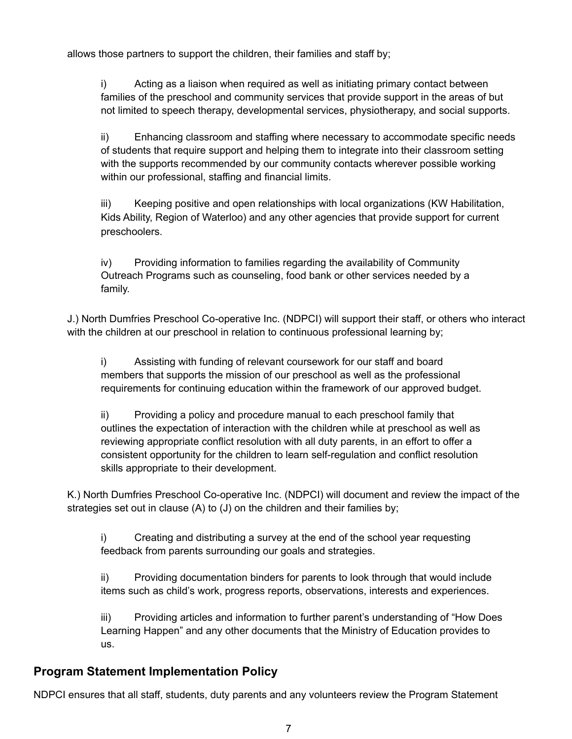allows those partners to support the children, their families and staff by;

i) Acting as a liaison when required as well as initiating primary contact between families of the preschool and community services that provide support in the areas of but not limited to speech therapy, developmental services, physiotherapy, and social supports.

ii) Enhancing classroom and staffing where necessary to accommodate specific needs of students that require support and helping them to integrate into their classroom setting with the supports recommended by our community contacts wherever possible working within our professional, staffing and financial limits.

iii) Keeping positive and open relationships with local organizations (KW Habilitation, Kids Ability, Region of Waterloo) and any other agencies that provide support for current preschoolers.

iv) Providing information to families regarding the availability of Community Outreach Programs such as counseling, food bank or other services needed by a family.

J.) North Dumfries Preschool Co-operative Inc. (NDPCI) will support their staff, or others who interact with the children at our preschool in relation to continuous professional learning by;

i) Assisting with funding of relevant coursework for our staff and board members that supports the mission of our preschool as well as the professional requirements for continuing education within the framework of our approved budget.

ii) Providing a policy and procedure manual to each preschool family that outlines the expectation of interaction with the children while at preschool as well as reviewing appropriate conflict resolution with all duty parents, in an effort to offer a consistent opportunity for the children to learn self-regulation and conflict resolution skills appropriate to their development.

K.) North Dumfries Preschool Co-operative Inc. (NDPCI) will document and review the impact of the strategies set out in clause (A) to (J) on the children and their families by;

i) Creating and distributing a survey at the end of the school year requesting feedback from parents surrounding our goals and strategies.

ii) Providing documentation binders for parents to look through that would include items such as child's work, progress reports, observations, interests and experiences.

iii) Providing articles and information to further parent's understanding of "How Does Learning Happen" and any other documents that the Ministry of Education provides to us.

#### <span id="page-7-0"></span>**Program Statement Implementation Policy**

NDPCI ensures that all staff, students, duty parents and any volunteers review the Program Statement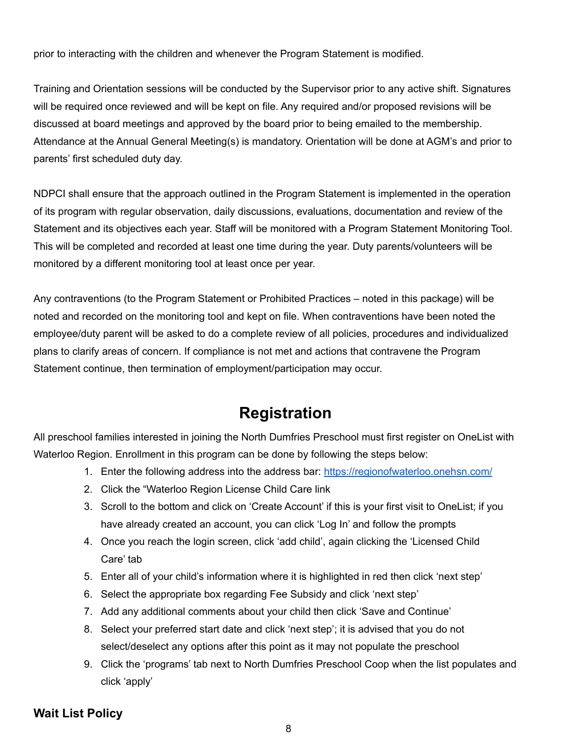prior to interacting with the children and whenever the Program Statement is modified.

Training and Orientation sessions will be conducted by the Supervisor prior to any active shift. Signatures will be required once reviewed and will be kept on file. Any required and/or proposed revisions will be discussed at board meetings and approved by the board prior to being emailed to the membership. Attendance at the Annual General Meeting(s) is mandatory. Orientation will be done at AGM's and prior to parents' first scheduled duty day.

NDPCI shall ensure that the approach outlined in the Program Statement is implemented in the operation of its program with regular observation, daily discussions, evaluations, documentation and review of the Statement and its objectives each year. Staff will be monitored with a Program Statement Monitoring Tool. This will be completed and recorded at least one time during the year. Duty parents/volunteers will be monitored by a different monitoring tool at least once per year.

Any contraventions (to the Program Statement or Prohibited Practices – noted in this package) will be noted and recorded on the monitoring tool and kept on file. When contraventions have been noted the employee/duty parent will be asked to do a complete review of all policies, procedures and individualized plans to clarify areas of concern. If compliance is not met and actions that contravene the Program Statement continue, then termination of employment/participation may occur.

### **Registration**

<span id="page-8-0"></span>All preschool families interested in joining the North Dumfries Preschool must first register on OneList with Waterloo Region. Enrollment in this program can be done by following the steps below:

- 1. Enter the following address into the address bar: <https://regionofwaterloo.onehsn.com/>
- 2. Click the "Waterloo Region License Child Care link
- 3. Scroll to the bottom and click on 'Create Account' if this is your first visit to OneList; if you have already created an account, you can click 'Log In' and follow the prompts
- 4. Once you reach the login screen, click 'add child', again clicking the 'Licensed Child Care' tab
- 5. Enter all of your child's information where it is highlighted in red then click 'next step'
- 6. Select the appropriate box regarding Fee Subsidy and click 'next step'
- 7. Add any additional comments about your child then click 'Save and Continue'
- 8. Select your preferred start date and click 'next step'; it is advised that you do not select/deselect any options after this point as it may not populate the preschool
- 9. Click the 'programs' tab next to North Dumfries Preschool Coop when the list populates and click 'apply'

#### <span id="page-8-1"></span>**Wait List Policy**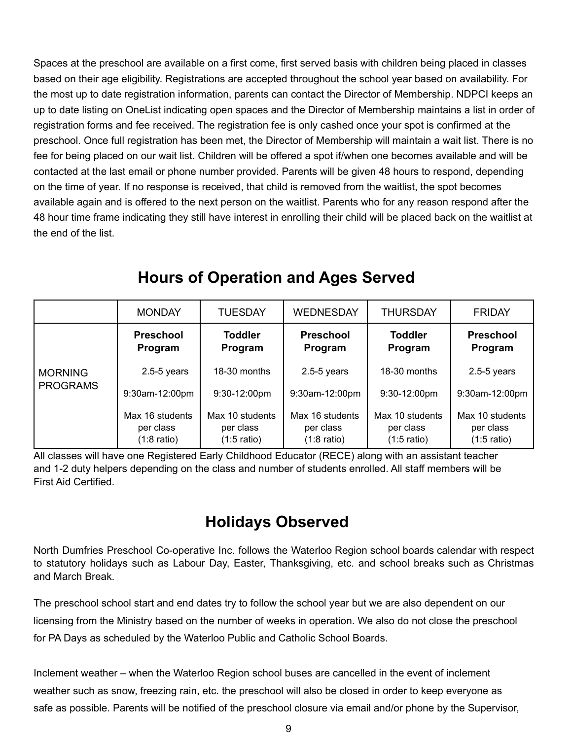Spaces at the preschool are available on a first come, first served basis with children being placed in classes based on their age eligibility. Registrations are accepted throughout the school year based on availability. For the most up to date registration information, parents can contact the Director of Membership. NDPCI keeps an up to date listing on OneList indicating open spaces and the Director of Membership maintains a list in order of registration forms and fee received. The registration fee is only cashed once your spot is confirmed at the preschool. Once full registration has been met, the Director of Membership will maintain a wait list. There is no fee for being placed on our wait list. Children will be offered a spot if/when one becomes available and will be contacted at the last email or phone number provided. Parents will be given 48 hours to respond, depending on the time of year. If no response is received, that child is removed from the waitlist, the spot becomes available again and is offered to the next person on the waitlist. Parents who for any reason respond after the 48 hour time frame indicating they still have interest in enrolling their child will be placed back on the waitlist at the end of the list.

<span id="page-9-0"></span>

|                                   | <b>MONDAY</b>                                         | <b>TUESDAY</b>                                        | <b>WEDNESDAY</b>                                      | <b>THURSDAY</b>                                       | <b>FRIDAY</b>                               |
|-----------------------------------|-------------------------------------------------------|-------------------------------------------------------|-------------------------------------------------------|-------------------------------------------------------|---------------------------------------------|
| <b>MORNING</b><br><b>PROGRAMS</b> | <b>Preschool</b><br>Program                           | <b>Toddler</b><br>Program                             | <b>Preschool</b><br>Program                           | <b>Toddler</b><br>Program                             | <b>Preschool</b><br>Program                 |
|                                   | $2.5 - 5$ years                                       | 18-30 months                                          | $2.5 - 5$ years                                       | 18-30 months                                          | $2.5 - 5$ years                             |
|                                   | 9:30am-12:00pm                                        | 9:30-12:00pm                                          | 9:30am-12:00pm                                        | 9:30-12:00pm                                          | 9:30am-12:00pm                              |
|                                   | Max 16 students<br>per class<br>$(1:8 \text{ ratio})$ | Max 10 students<br>per class<br>$(1:5 \text{ ratio})$ | Max 16 students<br>per class<br>$(1:8 \text{ ratio})$ | Max 10 students<br>per class<br>$(1:5 \text{ ratio})$ | Max 10 students<br>per class<br>(1:5 ratio) |

### **Hours of Operation and Ages Served**

All classes will have one Registered Early Childhood Educator (RECE) along with an assistant teacher and 1-2 duty helpers depending on the class and number of students enrolled. All staff members will be First Aid Certified.

### **Holidays Observed**

<span id="page-9-1"></span>North Dumfries Preschool Co-operative Inc. follows the Waterloo Region school boards calendar with respect to statutory holidays such as Labour Day, Easter, Thanksgiving, etc. and school breaks such as Christmas and March Break.

The preschool school start and end dates try to follow the school year but we are also dependent on our licensing from the Ministry based on the number of weeks in operation. We also do not close the preschool for PA Days as scheduled by the Waterloo Public and Catholic School Boards.

Inclement weather – when the Waterloo Region school buses are cancelled in the event of inclement weather such as snow, freezing rain, etc. the preschool will also be closed in order to keep everyone as safe as possible. Parents will be notified of the preschool closure via email and/or phone by the Supervisor,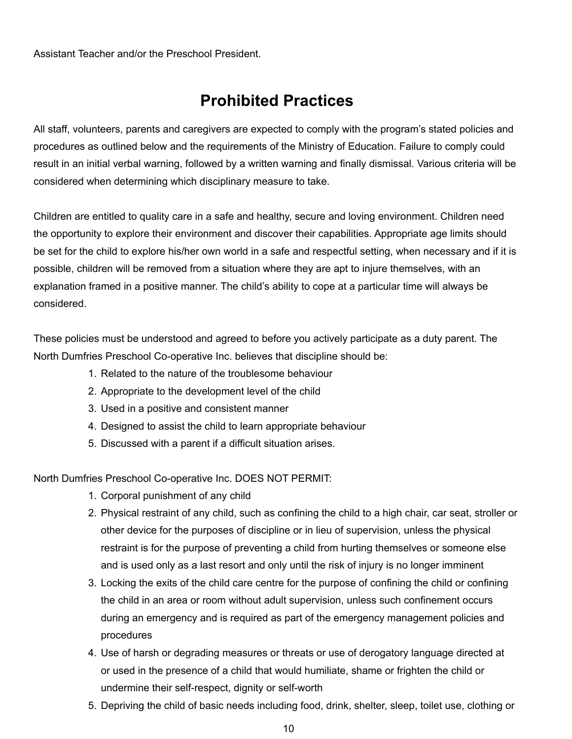Assistant Teacher and/or the Preschool President.

### **Prohibited Practices**

All staff, volunteers, parents and caregivers are expected to comply with the program's stated policies and procedures as outlined below and the requirements of the Ministry of Education. Failure to comply could result in an initial verbal warning, followed by a written warning and finally dismissal. Various criteria will be considered when determining which disciplinary measure to take.

Children are entitled to quality care in a safe and healthy, secure and loving environment. Children need the opportunity to explore their environment and discover their capabilities. Appropriate age limits should be set for the child to explore his/her own world in a safe and respectful setting, when necessary and if it is possible, children will be removed from a situation where they are apt to injure themselves, with an explanation framed in a positive manner. The child's ability to cope at a particular time will always be considered.

These policies must be understood and agreed to before you actively participate as a duty parent. The North Dumfries Preschool Co-operative Inc. believes that discipline should be:

- 1. Related to the nature of the troublesome behaviour
- 2. Appropriate to the development level of the child
- 3. Used in a positive and consistent manner
- 4. Designed to assist the child to learn appropriate behaviour
- 5. Discussed with a parent if a difficult situation arises.

North Dumfries Preschool Co-operative Inc. DOES NOT PERMIT:

- 1. Corporal punishment of any child
- 2. Physical restraint of any child, such as confining the child to a high chair, car seat, stroller or other device for the purposes of discipline or in lieu of supervision, unless the physical restraint is for the purpose of preventing a child from hurting themselves or someone else and is used only as a last resort and only until the risk of injury is no longer imminent
- 3. Locking the exits of the child care centre for the purpose of confining the child or confining the child in an area or room without adult supervision, unless such confinement occurs during an emergency and is required as part of the emergency management policies and procedures
- 4. Use of harsh or degrading measures or threats or use of derogatory language directed at or used in the presence of a child that would humiliate, shame or frighten the child or undermine their self-respect, dignity or self-worth
- 5. Depriving the child of basic needs including food, drink, shelter, sleep, toilet use, clothing or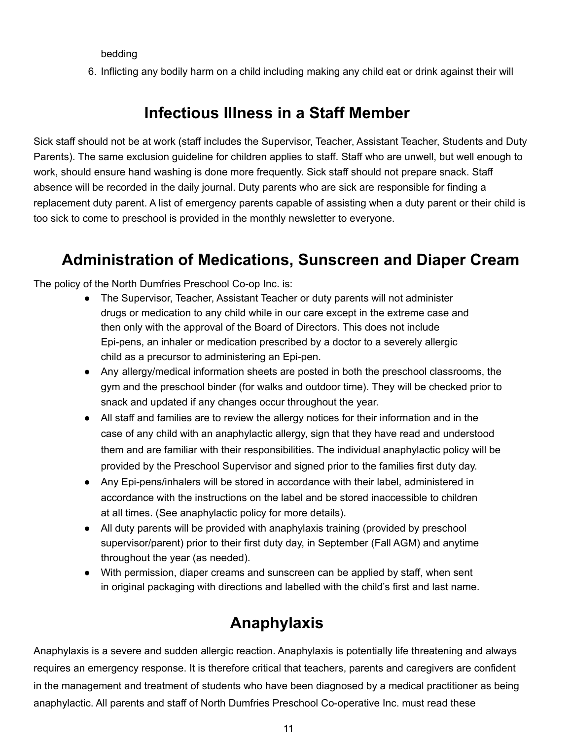bedding

6. Inflicting any bodily harm on a child including making any child eat or drink against their will

### **Infectious Illness in a Staff Member**

Sick staff should not be at work (staff includes the Supervisor, Teacher, Assistant Teacher, Students and Duty Parents). The same exclusion guideline for children applies to staff. Staff who are unwell, but well enough to work, should ensure hand washing is done more frequently. Sick staff should not prepare snack. Staff absence will be recorded in the daily journal. Duty parents who are sick are responsible for finding a replacement duty parent. A list of emergency parents capable of assisting when a duty parent or their child is too sick to come to preschool is provided in the monthly newsletter to everyone.

### <span id="page-11-0"></span>**Administration of Medications, Sunscreen and Diaper Cream**

The policy of the North Dumfries Preschool Co-op Inc. is:

- The Supervisor, Teacher, Assistant Teacher or duty parents will not administer drugs or medication to any child while in our care except in the extreme case and then only with the approval of the Board of Directors. This does not include Epi-pens, an inhaler or medication prescribed by a doctor to a severely allergic child as a precursor to administering an Epi-pen.
- Any allergy/medical information sheets are posted in both the preschool classrooms, the gym and the preschool binder (for walks and outdoor time). They will be checked prior to snack and updated if any changes occur throughout the year.
- All staff and families are to review the allergy notices for their information and in the case of any child with an anaphylactic allergy, sign that they have read and understood them and are familiar with their responsibilities. The individual anaphylactic policy will be provided by the Preschool Supervisor and signed prior to the families first duty day.
- Any Epi-pens/inhalers will be stored in accordance with their label, administered in accordance with the instructions on the label and be stored inaccessible to children at all times. (See anaphylactic policy for more details).
- All duty parents will be provided with anaphylaxis training (provided by preschool supervisor/parent) prior to their first duty day, in September (Fall AGM) and anytime throughout the year (as needed).
- With permission, diaper creams and sunscreen can be applied by staff, when sent in original packaging with directions and labelled with the child's first and last name.

### **Anaphylaxis**

<span id="page-11-1"></span>Anaphylaxis is a severe and sudden allergic reaction. Anaphylaxis is potentially life threatening and always requires an emergency response. It is therefore critical that teachers, parents and caregivers are confident in the management and treatment of students who have been diagnosed by a medical practitioner as being anaphylactic. All parents and staff of North Dumfries Preschool Co-operative Inc. must read these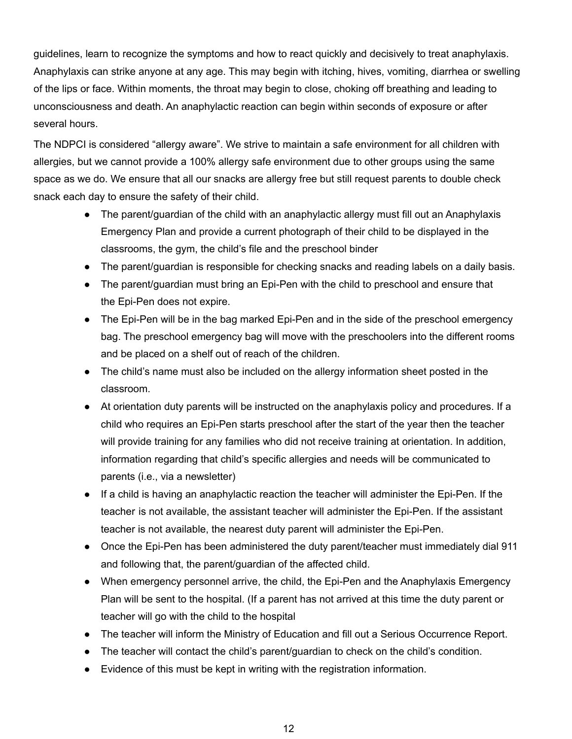guidelines, learn to recognize the symptoms and how to react quickly and decisively to treat anaphylaxis. Anaphylaxis can strike anyone at any age. This may begin with itching, hives, vomiting, diarrhea or swelling of the lips or face. Within moments, the throat may begin to close, choking off breathing and leading to unconsciousness and death. An anaphylactic reaction can begin within seconds of exposure or after several hours.

The NDPCI is considered "allergy aware". We strive to maintain a safe environment for all children with allergies, but we cannot provide a 100% allergy safe environment due to other groups using the same space as we do. We ensure that all our snacks are allergy free but still request parents to double check snack each day to ensure the safety of their child.

- The parent/guardian of the child with an anaphylactic allergy must fill out an Anaphylaxis Emergency Plan and provide a current photograph of their child to be displayed in the classrooms, the gym, the child's file and the preschool binder
- The parent/guardian is responsible for checking snacks and reading labels on a daily basis.
- The parent/guardian must bring an Epi-Pen with the child to preschool and ensure that the Epi-Pen does not expire.
- The Epi-Pen will be in the bag marked Epi-Pen and in the side of the preschool emergency bag. The preschool emergency bag will move with the preschoolers into the different rooms and be placed on a shelf out of reach of the children.
- The child's name must also be included on the allergy information sheet posted in the classroom.
- At orientation duty parents will be instructed on the anaphylaxis policy and procedures. If a child who requires an Epi-Pen starts preschool after the start of the year then the teacher will provide training for any families who did not receive training at orientation. In addition, information regarding that child's specific allergies and needs will be communicated to parents (i.e., via a newsletter)
- If a child is having an anaphylactic reaction the teacher will administer the Epi-Pen. If the teacher is not available, the assistant teacher will administer the Epi-Pen. If the assistant teacher is not available, the nearest duty parent will administer the Epi-Pen.
- Once the Epi-Pen has been administered the duty parent/teacher must immediately dial 911 and following that, the parent/guardian of the affected child.
- When emergency personnel arrive, the child, the Epi-Pen and the Anaphylaxis Emergency Plan will be sent to the hospital. (If a parent has not arrived at this time the duty parent or teacher will go with the child to the hospital
- The teacher will inform the Ministry of Education and fill out a Serious Occurrence Report.
- The teacher will contact the child's parent/guardian to check on the child's condition.
- Evidence of this must be kept in writing with the registration information.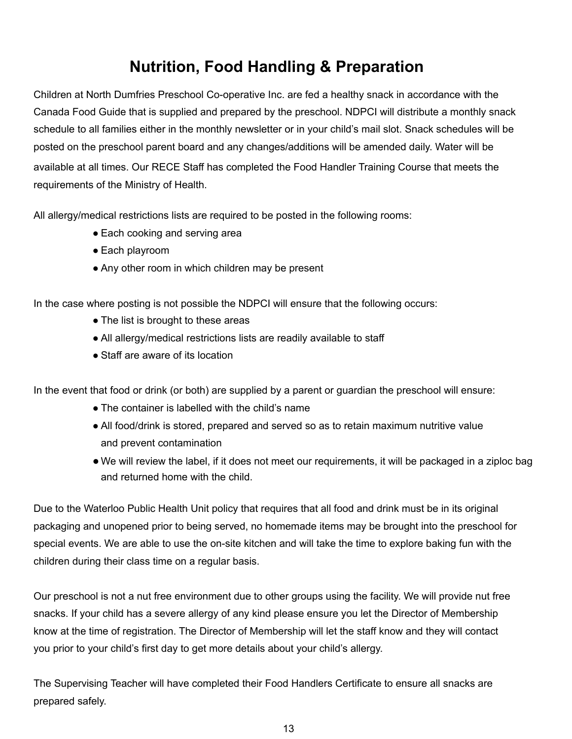### **Nutrition, Food Handling & Preparation**

<span id="page-13-0"></span>Children at North Dumfries Preschool Co-operative Inc. are fed a healthy snack in accordance with the Canada Food Guide that is supplied and prepared by the preschool. NDPCI will distribute a monthly snack schedule to all families either in the monthly newsletter or in your child's mail slot. Snack schedules will be posted on the preschool parent board and any changes/additions will be amended daily. Water will be available at all times. Our RECE Staff has completed the Food Handler Training Course that meets the requirements of the Ministry of Health.

All allergy/medical restrictions lists are required to be posted in the following rooms:

- Each cooking and serving area
- Each playroom
- Any other room in which children may be present

In the case where posting is not possible the NDPCI will ensure that the following occurs:

- The list is brought to these areas
- All allergy/medical restrictions lists are readily available to staff
- Staff are aware of its location

In the event that food or drink (or both) are supplied by a parent or guardian the preschool will ensure:

- The container is labelled with the child's name
- All food/drink is stored, prepared and served so as to retain maximum nutritive value and prevent contamination
- We will review the label, if it does not meet our requirements, it will be packaged in a ziploc bag and returned home with the child.

Due to the Waterloo Public Health Unit policy that requires that all food and drink must be in its original packaging and unopened prior to being served, no homemade items may be brought into the preschool for special events. We are able to use the on-site kitchen and will take the time to explore baking fun with the children during their class time on a regular basis.

Our preschool is not a nut free environment due to other groups using the facility. We will provide nut free snacks. If your child has a severe allergy of any kind please ensure you let the Director of Membership know at the time of registration. The Director of Membership will let the staff know and they will contact you prior to your child's first day to get more details about your child's allergy.

The Supervising Teacher will have completed their Food Handlers Certificate to ensure all snacks are prepared safely.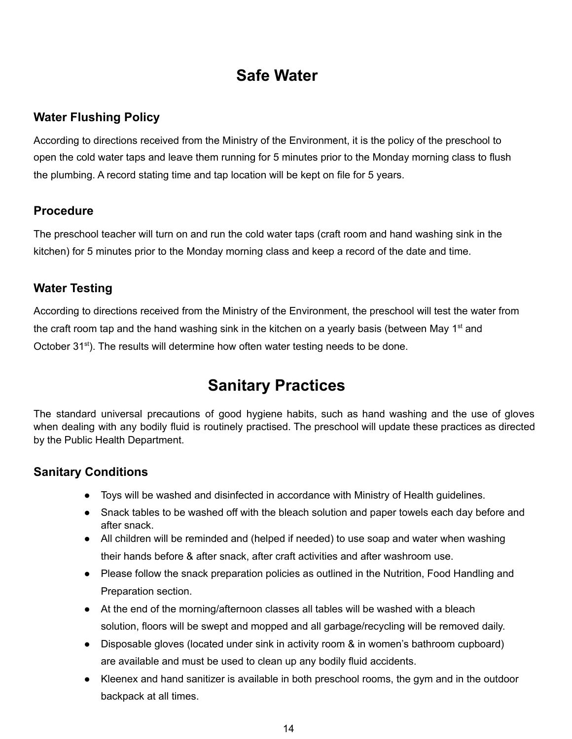### **Safe Water**

#### <span id="page-14-1"></span><span id="page-14-0"></span>**Water Flushing Policy**

According to directions received from the Ministry of the Environment, it is the policy of the preschool to open the cold water taps and leave them running for 5 minutes prior to the Monday morning class to flush the plumbing. A record stating time and tap location will be kept on file for 5 years.

#### <span id="page-14-2"></span>**Procedure**

The preschool teacher will turn on and run the cold water taps (craft room and hand washing sink in the kitchen) for 5 minutes prior to the Monday morning class and keep a record of the date and time.

#### <span id="page-14-3"></span>**Water Testing**

According to directions received from the Ministry of the Environment, the preschool will test the water from the craft room tap and the hand washing sink in the kitchen on a yearly basis (between May 1<sup>st</sup> and October 31<sup>st</sup>). The results will determine how often water testing needs to be done.

### **Sanitary Practices**

<span id="page-14-4"></span>The standard universal precautions of good hygiene habits, such as hand washing and the use of gloves when dealing with any bodily fluid is routinely practised. The preschool will update these practices as directed by the Public Health Department.

#### <span id="page-14-5"></span>**Sanitary Conditions**

- Toys will be washed and disinfected in accordance with Ministry of Health guidelines.
- Snack tables to be washed off with the bleach solution and paper towels each day before and after snack.
- All children will be reminded and (helped if needed) to use soap and water when washing their hands before & after snack, after craft activities and after washroom use.
- Please follow the snack preparation policies as outlined in the Nutrition, Food Handling and Preparation section.
- At the end of the morning/afternoon classes all tables will be washed with a bleach solution, floors will be swept and mopped and all garbage/recycling will be removed daily.
- Disposable gloves (located under sink in activity room & in women's bathroom cupboard) are available and must be used to clean up any bodily fluid accidents.
- Kleenex and hand sanitizer is available in both preschool rooms, the gym and in the outdoor backpack at all times.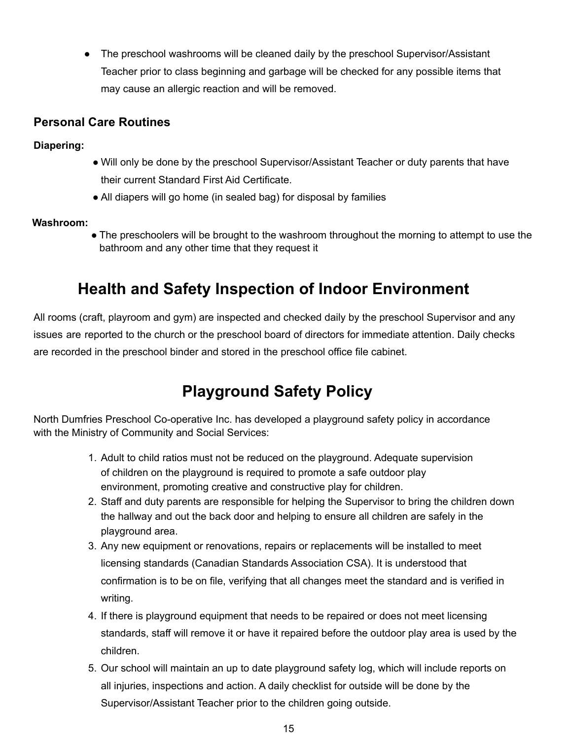• The preschool washrooms will be cleaned daily by the preschool Supervisor/Assistant Teacher prior to class beginning and garbage will be checked for any possible items that may cause an allergic reaction and will be removed.

#### **Personal Care Routines**

**Diapering:**

- Will only be done by the preschool Supervisor/Assistant Teacher or duty parents that have their current Standard First Aid Certificate.
- All diapers will go home (in sealed bag) for disposal by families

#### **Washroom:**

● The preschoolers will be brought to the washroom throughout the morning to attempt to use the bathroom and any other time that they request it

### **Health and Safety Inspection of Indoor Environment**

All rooms (craft, playroom and gym) are inspected and checked daily by the preschool Supervisor and any issues are reported to the church or the preschool board of directors for immediate attention. Daily checks are recorded in the preschool binder and stored in the preschool office file cabinet.

### **Playground Safety Policy**

<span id="page-15-0"></span>North Dumfries Preschool Co-operative Inc. has developed a playground safety policy in accordance with the Ministry of Community and Social Services:

- 1. Adult to child ratios must not be reduced on the playground. Adequate supervision of children on the playground is required to promote a safe outdoor play environment, promoting creative and constructive play for children.
- 2. Staff and duty parents are responsible for helping the Supervisor to bring the children down the hallway and out the back door and helping to ensure all children are safely in the playground area.
- 3. Any new equipment or renovations, repairs or replacements will be installed to meet licensing standards (Canadian Standards Association CSA). It is understood that confirmation is to be on file, verifying that all changes meet the standard and is verified in writing.
- 4. If there is playground equipment that needs to be repaired or does not meet licensing standards, staff will remove it or have it repaired before the outdoor play area is used by the children.
- 5. Our school will maintain an up to date playground safety log, which will include reports on all injuries, inspections and action. A daily checklist for outside will be done by the Supervisor/Assistant Teacher prior to the children going outside.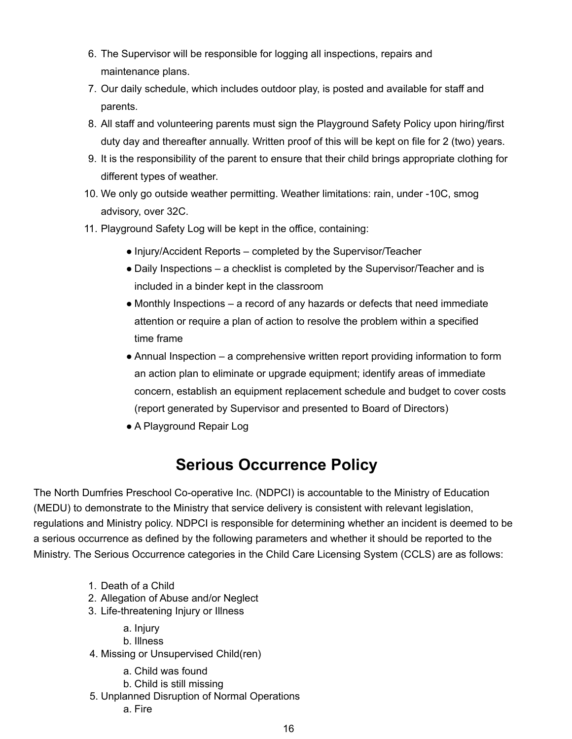- 6. The Supervisor will be responsible for logging all inspections, repairs and maintenance plans.
- 7. Our daily schedule, which includes outdoor play, is posted and available for staff and parents.
- 8. All staff and volunteering parents must sign the Playground Safety Policy upon hiring/first duty day and thereafter annually. Written proof of this will be kept on file for 2 (two) years.
- 9. It is the responsibility of the parent to ensure that their child brings appropriate clothing for different types of weather.
- 10. We only go outside weather permitting. Weather limitations: rain, under -10C, smog advisory, over 32C.
- 11. Playground Safety Log will be kept in the office, containing:
	- Injury/Accident Reports completed by the Supervisor/Teacher
	- Daily Inspections a checklist is completed by the Supervisor/Teacher and is included in a binder kept in the classroom
	- Monthly Inspections a record of any hazards or defects that need immediate attention or require a plan of action to resolve the problem within a specified time frame
	- $\bullet$  Annual Inspection a comprehensive written report providing information to form an action plan to eliminate or upgrade equipment; identify areas of immediate concern, establish an equipment replacement schedule and budget to cover costs (report generated by Supervisor and presented to Board of Directors)
	- A Playground Repair Log

### **Serious Occurrence Policy**

<span id="page-16-0"></span>The North Dumfries Preschool Co-operative Inc. (NDPCI) is accountable to the Ministry of Education (MEDU) to demonstrate to the Ministry that service delivery is consistent with relevant legislation, regulations and Ministry policy. NDPCI is responsible for determining whether an incident is deemed to be a serious occurrence as defined by the following parameters and whether it should be reported to the Ministry. The Serious Occurrence categories in the Child Care Licensing System (CCLS) are as follows:

- 1. Death of a Child
- 2. Allegation of Abuse and/or Neglect
- 3. Life-threatening Injury or Illness
	- a. Injury
	- b. Illness
- 4. Missing or Unsupervised Child(ren)
	- a. Child was found
	- b. Child is still missing
- 5. Unplanned Disruption of Normal Operations a. Fire
	-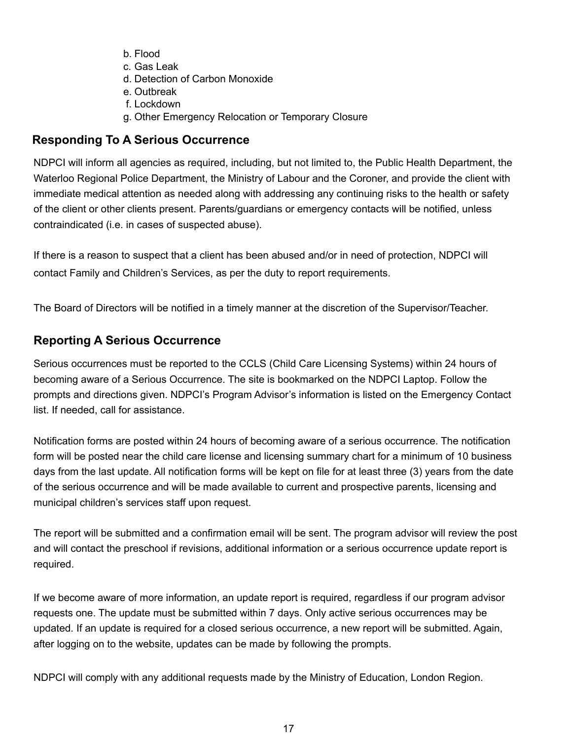- b. Flood
- c. Gas Leak
- d. Detection of Carbon Monoxide
- e. Outbreak
- f. Lockdown
- g. Other Emergency Relocation or Temporary Closure

#### <span id="page-17-0"></span>**Responding To A Serious Occurrence**

NDPCI will inform all agencies as required, including, but not limited to, the Public Health Department, the Waterloo Regional Police Department, the Ministry of Labour and the Coroner, and provide the client with immediate medical attention as needed along with addressing any continuing risks to the health or safety of the client or other clients present. Parents/guardians or emergency contacts will be notified, unless contraindicated (i.e. in cases of suspected abuse).

If there is a reason to suspect that a client has been abused and/or in need of protection, NDPCI will contact Family and Children's Services, as per the duty to report requirements.

The Board of Directors will be notified in a timely manner at the discretion of the Supervisor/Teacher.

#### <span id="page-17-1"></span>**Reporting A Serious Occurrence**

Serious occurrences must be reported to the CCLS (Child Care Licensing Systems) within 24 hours of becoming aware of a Serious Occurrence. The site is bookmarked on the NDPCI Laptop. Follow the prompts and directions given. NDPCI's Program Advisor's information is listed on the Emergency Contact list. If needed, call for assistance.

Notification forms are posted within 24 hours of becoming aware of a serious occurrence. The notification form will be posted near the child care license and licensing summary chart for a minimum of 10 business days from the last update. All notification forms will be kept on file for at least three (3) years from the date of the serious occurrence and will be made available to current and prospective parents, licensing and municipal children's services staff upon request.

The report will be submitted and a confirmation email will be sent. The program advisor will review the post and will contact the preschool if revisions, additional information or a serious occurrence update report is required.

If we become aware of more information, an update report is required, regardless if our program advisor requests one. The update must be submitted within 7 days. Only active serious occurrences may be updated. If an update is required for a closed serious occurrence, a new report will be submitted. Again, after logging on to the website, updates can be made by following the prompts.

NDPCI will comply with any additional requests made by the Ministry of Education, London Region.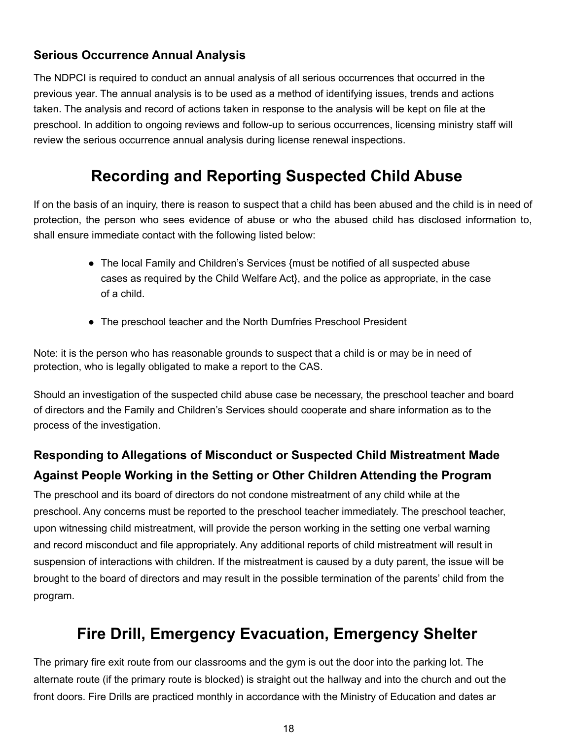#### **Serious Occurrence Annual Analysis**

The NDPCI is required to conduct an annual analysis of all serious occurrences that occurred in the previous year. The annual analysis is to be used as a method of identifying issues, trends and actions taken. The analysis and record of actions taken in response to the analysis will be kept on file at the preschool. In addition to ongoing reviews and follow-up to serious occurrences, licensing ministry staff will review the serious occurrence annual analysis during license renewal inspections.

### **Recording and Reporting Suspected Child Abuse**

<span id="page-18-0"></span>If on the basis of an inquiry, there is reason to suspect that a child has been abused and the child is in need of protection, the person who sees evidence of abuse or who the abused child has disclosed information to, shall ensure immediate contact with the following listed below:

- The local Family and Children's Services {must be notified of all suspected abuse cases as required by the Child Welfare Act}, and the police as appropriate, in the case of a child.
- The preschool teacher and the North Dumfries Preschool President

Note: it is the person who has reasonable grounds to suspect that a child is or may be in need of protection, who is legally obligated to make a report to the CAS.

Should an investigation of the suspected child abuse case be necessary, the preschool teacher and board of directors and the Family and Children's Services should cooperate and share information as to the process of the investigation.

### **Responding to Allegations of Misconduct or Suspected Child Mistreatment Made Against People Working in the Setting or Other Children Attending the Program**

The preschool and its board of directors do not condone mistreatment of any child while at the preschool. Any concerns must be reported to the preschool teacher immediately. The preschool teacher, upon witnessing child mistreatment, will provide the person working in the setting one verbal warning and record misconduct and file appropriately. Any additional reports of child mistreatment will result in suspension of interactions with children. If the mistreatment is caused by a duty parent, the issue will be brought to the board of directors and may result in the possible termination of the parents' child from the program.

### **Fire Drill, Emergency Evacuation, Emergency Shelter**

<span id="page-18-1"></span>The primary fire exit route from our classrooms and the gym is out the door into the parking lot. The alternate route (if the primary route is blocked) is straight out the hallway and into the church and out the front doors. Fire Drills are practiced monthly in accordance with the Ministry of Education and dates ar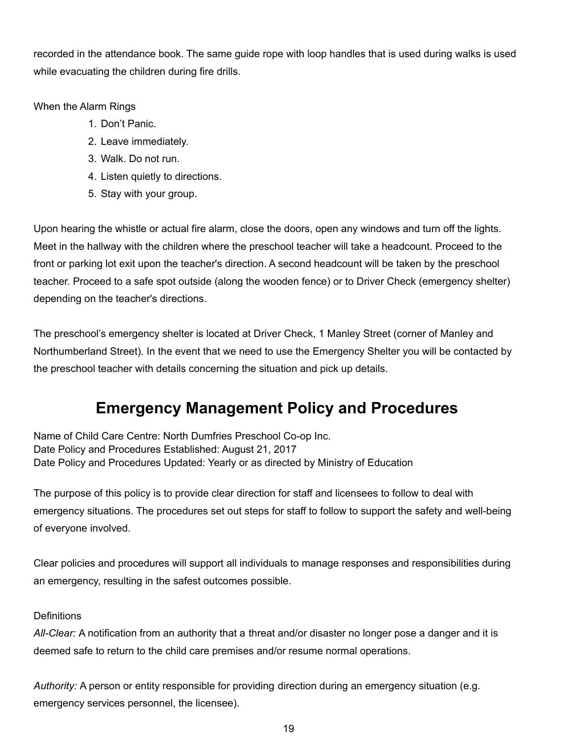recorded in the attendance book. The same guide rope with loop handles that is used during walks is used while evacuating the children during fire drills.

When the Alarm Rings

- 1. Don't Panic.
- 2. Leave immediately.
- 3. Walk. Do not run.
- 4. Listen quietly to directions.
- 5. Stay with your group.

Upon hearing the whistle or actual fire alarm, close the doors, open any windows and turn off the lights. Meet in the hallway with the children where the preschool teacher will take a headcount. Proceed to the front or parking lot exit upon the teacher's direction. A second headcount will be taken by the preschool teacher. Proceed to a safe spot outside (along the wooden fence) or to Driver Check (emergency shelter) depending on the teacher's directions.

The preschool's emergency shelter is located at Driver Check, 1 Manley Street (corner of Manley and Northumberland Street). In the event that we need to use the Emergency Shelter you will be contacted by the preschool teacher with details concerning the situation and pick up details.

### **Emergency Management Policy and Procedures**

<span id="page-19-0"></span>Name of Child Care Centre: North Dumfries Preschool Co-op Inc. Date Policy and Procedures Established: August 21, 2017 Date Policy and Procedures Updated: Yearly or as directed by Ministry of Education

The purpose of this policy is to provide clear direction for staff and licensees to follow to deal with emergency situations. The procedures set out steps for staff to follow to support the safety and well-being of everyone involved.

Clear policies and procedures will support all individuals to manage responses and responsibilities during an emergency, resulting in the safest outcomes possible.

#### **Definitions**

*All-Clear:* A notification from an authority that a threat and/or disaster no longer pose a danger and it is deemed safe to return to the child care premises and/or resume normal operations.

*Authority:* A person or entity responsible for providing direction during an emergency situation (e.g. emergency services personnel, the licensee).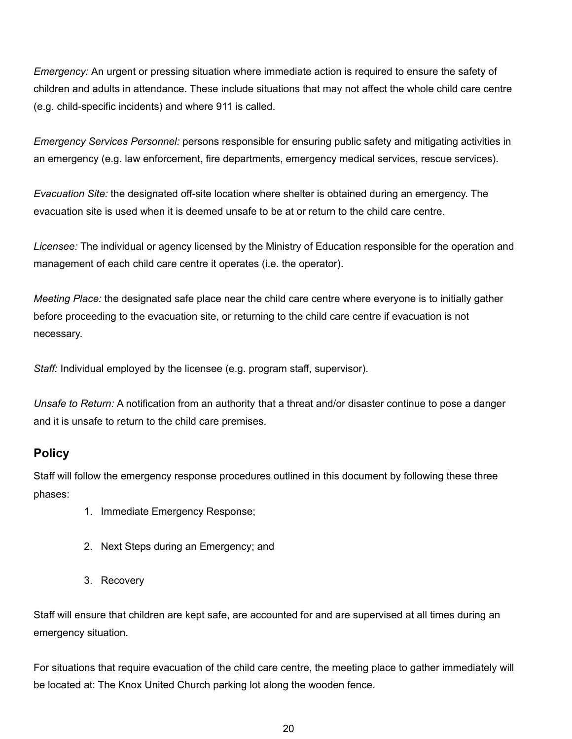*Emergency:* An urgent or pressing situation where immediate action is required to ensure the safety of children and adults in attendance. These include situations that may not affect the whole child care centre (e.g. child-specific incidents) and where 911 is called.

*Emergency Services Personnel:* persons responsible for ensuring public safety and mitigating activities in an emergency (e.g. law enforcement, fire departments, emergency medical services, rescue services).

*Evacuation Site:* the designated off-site location where shelter is obtained during an emergency. The evacuation site is used when it is deemed unsafe to be at or return to the child care centre.

*Licensee:* The individual or agency licensed by the Ministry of Education responsible for the operation and management of each child care centre it operates (i.e. the operator).

*Meeting Place:* the designated safe place near the child care centre where everyone is to initially gather before proceeding to the evacuation site, or returning to the child care centre if evacuation is not necessary.

*Staff:* Individual employed by the licensee (e.g. program staff, supervisor).

*Unsafe to Return:* A notification from an authority that a threat and/or disaster continue to pose a danger and it is unsafe to return to the child care premises.

#### <span id="page-20-0"></span>**Policy**

Staff will follow the emergency response procedures outlined in this document by following these three phases:

- 1. Immediate Emergency Response;
- 2. Next Steps during an Emergency; and
- 3. Recovery

Staff will ensure that children are kept safe, are accounted for and are supervised at all times during an emergency situation.

For situations that require evacuation of the child care centre, the meeting place to gather immediately will be located at: The Knox United Church parking lot along the wooden fence.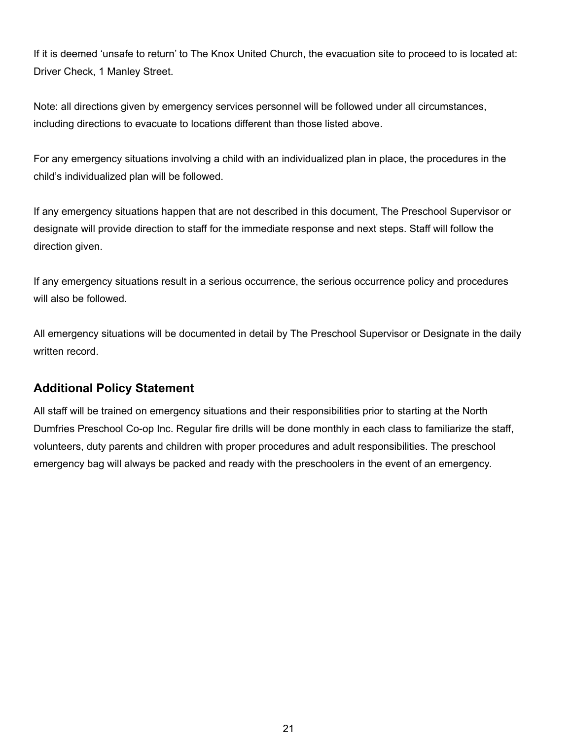If it is deemed 'unsafe to return' to The Knox United Church, the evacuation site to proceed to is located at: Driver Check, 1 Manley Street.

Note: all directions given by emergency services personnel will be followed under all circumstances, including directions to evacuate to locations different than those listed above.

For any emergency situations involving a child with an individualized plan in place, the procedures in the child's individualized plan will be followed.

If any emergency situations happen that are not described in this document, The Preschool Supervisor or designate will provide direction to staff for the immediate response and next steps. Staff will follow the direction given.

If any emergency situations result in a serious occurrence, the serious occurrence policy and procedures will also be followed.

All emergency situations will be documented in detail by The Preschool Supervisor or Designate in the daily written record.

#### <span id="page-21-0"></span>**Additional Policy Statement**

All staff will be trained on emergency situations and their responsibilities prior to starting at the North Dumfries Preschool Co-op Inc. Regular fire drills will be done monthly in each class to familiarize the staff, volunteers, duty parents and children with proper procedures and adult responsibilities. The preschool emergency bag will always be packed and ready with the preschoolers in the event of an emergency.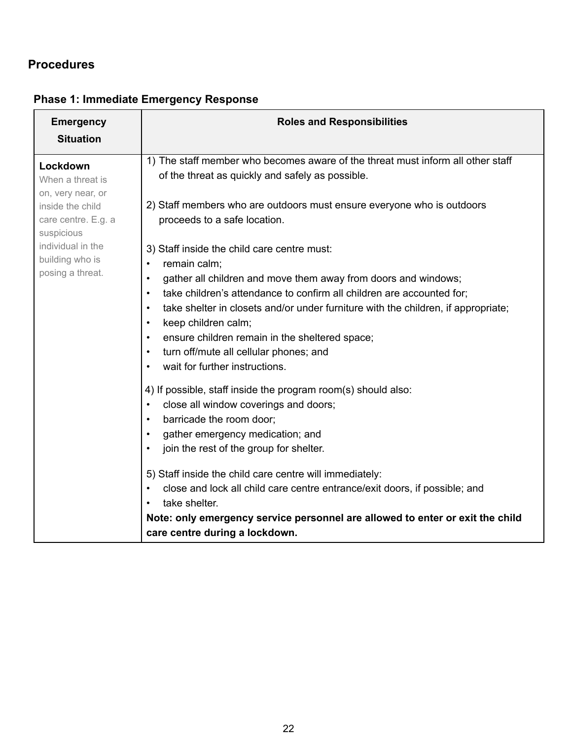#### **Procedures**

| <b>Emergency</b>                | <b>Roles and Responsibilities</b>                                                                           |
|---------------------------------|-------------------------------------------------------------------------------------------------------------|
| <b>Situation</b>                |                                                                                                             |
| Lockdown                        | 1) The staff member who becomes aware of the threat must inform all other staff                             |
| When a threat is                | of the threat as quickly and safely as possible.                                                            |
| on, very near, or               |                                                                                                             |
| inside the child                | 2) Staff members who are outdoors must ensure everyone who is outdoors                                      |
| care centre. E.g. a             | proceeds to a safe location.                                                                                |
| suspicious<br>individual in the |                                                                                                             |
| building who is                 | 3) Staff inside the child care centre must:                                                                 |
| posing a threat.                | remain calm;<br>$\bullet$                                                                                   |
|                                 | gather all children and move them away from doors and windows;<br>$\bullet$                                 |
|                                 | take children's attendance to confirm all children are accounted for;<br>$\bullet$                          |
|                                 | take shelter in closets and/or under furniture with the children, if appropriate;<br>$\bullet$<br>$\bullet$ |
|                                 | keep children calm;<br>ensure children remain in the sheltered space;<br>$\bullet$                          |
|                                 | turn off/mute all cellular phones; and<br>$\bullet$                                                         |
|                                 | wait for further instructions.<br>$\bullet$                                                                 |
|                                 |                                                                                                             |
|                                 | 4) If possible, staff inside the program room(s) should also:                                               |
|                                 | close all window coverings and doors;<br>$\bullet$                                                          |
|                                 | barricade the room door;<br>$\bullet$                                                                       |
|                                 | gather emergency medication; and<br>$\bullet$                                                               |
|                                 | join the rest of the group for shelter.<br>$\bullet$                                                        |
|                                 | 5) Staff inside the child care centre will immediately:                                                     |
|                                 | close and lock all child care centre entrance/exit doors, if possible; and<br>$\bullet$                     |
|                                 | take shelter.<br>$\bullet$                                                                                  |
|                                 | Note: only emergency service personnel are allowed to enter or exit the child                               |
|                                 | care centre during a lockdown.                                                                              |

### <span id="page-22-0"></span>**Phase 1: Immediate Emergency Response**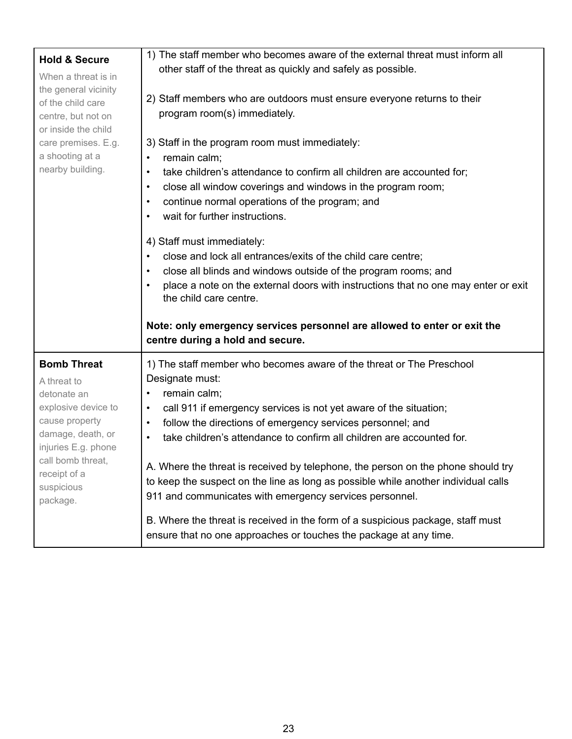| <b>Hold &amp; Secure</b>                                                                                                             | 1) The staff member who becomes aware of the external threat must inform all                                                                                                                                                                                                                                                                                                                                           |
|--------------------------------------------------------------------------------------------------------------------------------------|------------------------------------------------------------------------------------------------------------------------------------------------------------------------------------------------------------------------------------------------------------------------------------------------------------------------------------------------------------------------------------------------------------------------|
| When a threat is in                                                                                                                  | other staff of the threat as quickly and safely as possible.                                                                                                                                                                                                                                                                                                                                                           |
| the general vicinity<br>of the child care<br>centre, but not on<br>or inside the child                                               | 2) Staff members who are outdoors must ensure everyone returns to their<br>program room(s) immediately.                                                                                                                                                                                                                                                                                                                |
| care premises. E.g.<br>a shooting at a<br>nearby building.                                                                           | 3) Staff in the program room must immediately:<br>remain calm;<br>take children's attendance to confirm all children are accounted for;<br>$\bullet$<br>close all window coverings and windows in the program room;<br>$\bullet$<br>continue normal operations of the program; and<br>٠<br>wait for further instructions.<br>$\bullet$                                                                                 |
|                                                                                                                                      | 4) Staff must immediately:<br>close and lock all entrances/exits of the child care centre;<br>$\bullet$<br>close all blinds and windows outside of the program rooms; and<br>$\bullet$<br>place a note on the external doors with instructions that no one may enter or exit<br>the child care centre.<br>Note: only emergency services personnel are allowed to enter or exit the<br>centre during a hold and secure. |
| <b>Bomb Threat</b>                                                                                                                   |                                                                                                                                                                                                                                                                                                                                                                                                                        |
|                                                                                                                                      |                                                                                                                                                                                                                                                                                                                                                                                                                        |
| A threat to<br>detonate an<br>explosive device to<br>cause property<br>damage, death, or<br>injuries E.g. phone<br>call bomb threat, | 1) The staff member who becomes aware of the threat or The Preschool<br>Designate must:<br>remain calm;<br>$\bullet$<br>call 911 if emergency services is not yet aware of the situation;<br>$\bullet$<br>follow the directions of emergency services personnel; and<br>$\bullet$<br>take children's attendance to confirm all children are accounted for.<br>$\bullet$                                                |
| receipt of a<br>suspicious<br>package.                                                                                               | A. Where the threat is received by telephone, the person on the phone should try<br>to keep the suspect on the line as long as possible while another individual calls<br>911 and communicates with emergency services personnel.<br>B. Where the threat is received in the form of a suspicious package, staff must<br>ensure that no one approaches or touches the package at any time.                              |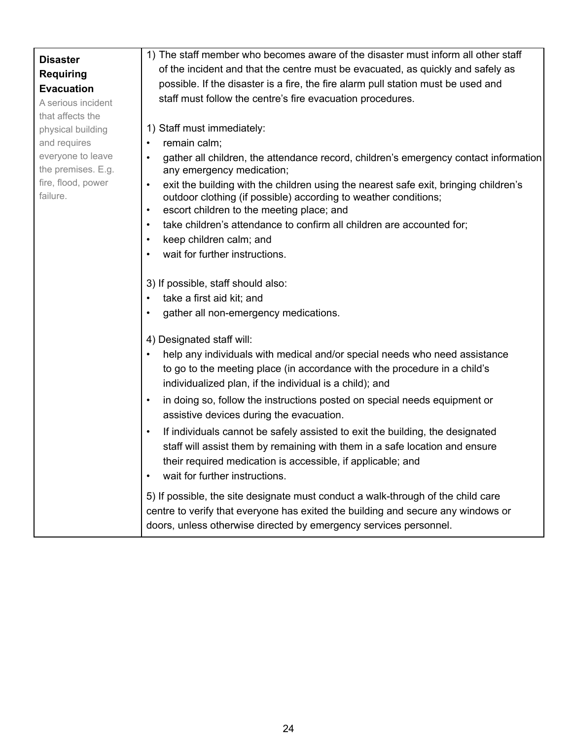|                                | 1) The staff member who becomes aware of the disaster must inform all other staff                                                                                                                                                                                                       |
|--------------------------------|-----------------------------------------------------------------------------------------------------------------------------------------------------------------------------------------------------------------------------------------------------------------------------------------|
| <b>Disaster</b>                | of the incident and that the centre must be evacuated, as quickly and safely as                                                                                                                                                                                                         |
| <b>Requiring</b>               |                                                                                                                                                                                                                                                                                         |
| <b>Evacuation</b>              | possible. If the disaster is a fire, the fire alarm pull station must be used and                                                                                                                                                                                                       |
| A serious incident             | staff must follow the centre's fire evacuation procedures.                                                                                                                                                                                                                              |
| that affects the               |                                                                                                                                                                                                                                                                                         |
| physical building              | 1) Staff must immediately:                                                                                                                                                                                                                                                              |
| and requires                   | remain calm;<br>$\bullet$                                                                                                                                                                                                                                                               |
| everyone to leave              | gather all children, the attendance record, children's emergency contact information                                                                                                                                                                                                    |
| the premises. E.g.             | any emergency medication;                                                                                                                                                                                                                                                               |
| fire, flood, power<br>failure. | exit the building with the children using the nearest safe exit, bringing children's<br>$\bullet$<br>outdoor clothing (if possible) according to weather conditions;<br>escort children to the meeting place; and<br>$\bullet$                                                          |
|                                | take children's attendance to confirm all children are accounted for;<br>$\bullet$                                                                                                                                                                                                      |
|                                | keep children calm; and<br>$\bullet$                                                                                                                                                                                                                                                    |
|                                | wait for further instructions.                                                                                                                                                                                                                                                          |
|                                |                                                                                                                                                                                                                                                                                         |
|                                | 3) If possible, staff should also:                                                                                                                                                                                                                                                      |
|                                | take a first aid kit; and                                                                                                                                                                                                                                                               |
|                                | gather all non-emergency medications.                                                                                                                                                                                                                                                   |
|                                |                                                                                                                                                                                                                                                                                         |
|                                | 4) Designated staff will:                                                                                                                                                                                                                                                               |
|                                | help any individuals with medical and/or special needs who need assistance                                                                                                                                                                                                              |
|                                | to go to the meeting place (in accordance with the procedure in a child's                                                                                                                                                                                                               |
|                                | individualized plan, if the individual is a child); and                                                                                                                                                                                                                                 |
|                                | in doing so, follow the instructions posted on special needs equipment or<br>$\bullet$<br>assistive devices during the evacuation.                                                                                                                                                      |
|                                | If individuals cannot be safely assisted to exit the building, the designated<br>$\bullet$<br>staff will assist them by remaining with them in a safe location and ensure<br>their required medication is accessible, if applicable; and<br>wait for further instructions.<br>$\bullet$ |
|                                | 5) If possible, the site designate must conduct a walk-through of the child care<br>centre to verify that everyone has exited the building and secure any windows or<br>doors, unless otherwise directed by emergency services personnel.                                               |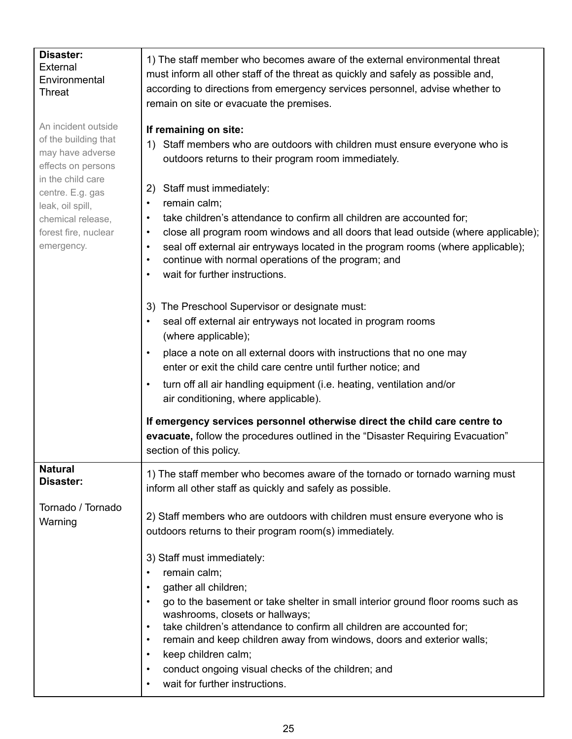| Disaster:<br>External<br>Environmental<br>Threat                                                                                                                                                              | 1) The staff member who becomes aware of the external environmental threat<br>must inform all other staff of the threat as quickly and safely as possible and,<br>according to directions from emergency services personnel, advise whether to<br>remain on site or evacuate the premises.                                                                                                                                                                                                                                                                                                                 |
|---------------------------------------------------------------------------------------------------------------------------------------------------------------------------------------------------------------|------------------------------------------------------------------------------------------------------------------------------------------------------------------------------------------------------------------------------------------------------------------------------------------------------------------------------------------------------------------------------------------------------------------------------------------------------------------------------------------------------------------------------------------------------------------------------------------------------------|
| An incident outside<br>of the building that<br>may have adverse<br>effects on persons<br>in the child care<br>centre. E.g. gas<br>leak, oil spill,<br>chemical release,<br>forest fire, nuclear<br>emergency. | If remaining on site:<br>Staff members who are outdoors with children must ensure everyone who is<br>1)<br>outdoors returns to their program room immediately.<br>Staff must immediately:<br>2)<br>remain calm;<br>$\bullet$<br>take children's attendance to confirm all children are accounted for;<br>$\bullet$<br>close all program room windows and all doors that lead outside (where applicable);<br>$\bullet$<br>seal off external air entryways located in the program rooms (where applicable);<br>continue with normal operations of the program; and<br>wait for further instructions.         |
|                                                                                                                                                                                                               | The Preschool Supervisor or designate must:<br>3)<br>seal off external air entryways not located in program rooms<br>(where applicable);<br>place a note on all external doors with instructions that no one may<br>enter or exit the child care centre until further notice; and<br>turn off all air handling equipment (i.e. heating, ventilation and/or<br>$\bullet$<br>air conditioning, where applicable).<br>If emergency services personnel otherwise direct the child care centre to<br>evacuate, follow the procedures outlined in the "Disaster Requiring Evacuation"<br>section of this policy. |
| <b>Natural</b><br>Disaster:<br>Tornado / Tornado<br>Warning                                                                                                                                                   | 1) The staff member who becomes aware of the tornado or tornado warning must<br>inform all other staff as quickly and safely as possible.<br>2) Staff members who are outdoors with children must ensure everyone who is                                                                                                                                                                                                                                                                                                                                                                                   |
|                                                                                                                                                                                                               | outdoors returns to their program room(s) immediately.<br>3) Staff must immediately:<br>remain calm;<br>gather all children;<br>go to the basement or take shelter in small interior ground floor rooms such as<br>washrooms, closets or hallways;<br>take children's attendance to confirm all children are accounted for;<br>$\bullet$<br>remain and keep children away from windows, doors and exterior walls;<br>$\bullet$<br>keep children calm;<br>$\bullet$<br>conduct ongoing visual checks of the children; and<br>$\bullet$<br>wait for further instructions.<br>$\bullet$                       |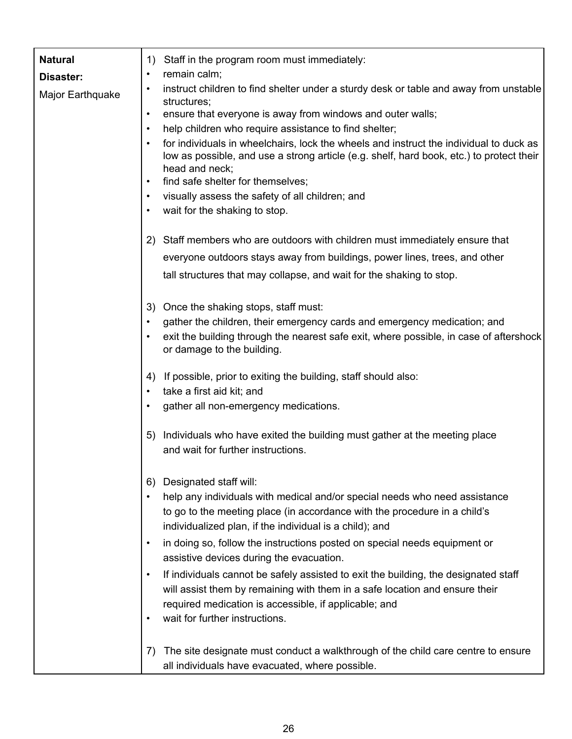| <b>Natural</b>   | 1)        | Staff in the program room must immediately:                                                                                                                                                                                               |
|------------------|-----------|-------------------------------------------------------------------------------------------------------------------------------------------------------------------------------------------------------------------------------------------|
| Disaster:        | $\bullet$ | remain calm;                                                                                                                                                                                                                              |
| Major Earthquake | $\bullet$ | instruct children to find shelter under a sturdy desk or table and away from unstable<br>structures;                                                                                                                                      |
|                  | $\bullet$ | ensure that everyone is away from windows and outer walls;                                                                                                                                                                                |
|                  | $\bullet$ | help children who require assistance to find shelter;                                                                                                                                                                                     |
|                  |           | for individuals in wheelchairs, lock the wheels and instruct the individual to duck as<br>low as possible, and use a strong article (e.g. shelf, hard book, etc.) to protect their<br>head and neck;<br>find safe shelter for themselves; |
|                  |           | visually assess the safety of all children; and                                                                                                                                                                                           |
|                  |           | wait for the shaking to stop.                                                                                                                                                                                                             |
|                  |           |                                                                                                                                                                                                                                           |
|                  | 2)        | Staff members who are outdoors with children must immediately ensure that                                                                                                                                                                 |
|                  |           | everyone outdoors stays away from buildings, power lines, trees, and other                                                                                                                                                                |
|                  |           | tall structures that may collapse, and wait for the shaking to stop.                                                                                                                                                                      |
|                  | 3)        | Once the shaking stops, staff must:                                                                                                                                                                                                       |
|                  |           | gather the children, their emergency cards and emergency medication; and                                                                                                                                                                  |
|                  |           | exit the building through the nearest safe exit, where possible, in case of aftershock<br>or damage to the building.                                                                                                                      |
|                  | 4)        | If possible, prior to exiting the building, staff should also:                                                                                                                                                                            |
|                  |           | take a first aid kit; and                                                                                                                                                                                                                 |
|                  |           | gather all non-emergency medications.                                                                                                                                                                                                     |
|                  | 5)        | Individuals who have exited the building must gather at the meeting place                                                                                                                                                                 |
|                  |           | and wait for further instructions.                                                                                                                                                                                                        |
|                  | 6)        | Designated staff will:                                                                                                                                                                                                                    |
|                  |           | help any individuals with medical and/or special needs who need assistance<br>to go to the meeting place (in accordance with the procedure in a child's<br>individualized plan, if the individual is a child); and                        |
|                  | $\bullet$ | in doing so, follow the instructions posted on special needs equipment or<br>assistive devices during the evacuation.                                                                                                                     |
|                  |           | If individuals cannot be safely assisted to exit the building, the designated staff<br>will assist them by remaining with them in a safe location and ensure their<br>required medication is accessible, if applicable; and               |
|                  |           | wait for further instructions.                                                                                                                                                                                                            |
|                  | 7)        | The site designate must conduct a walkthrough of the child care centre to ensure<br>all individuals have evacuated, where possible.                                                                                                       |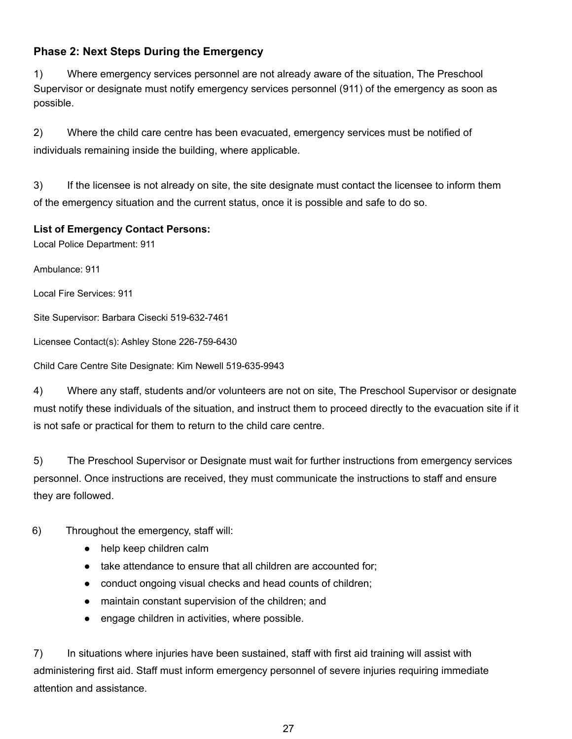#### <span id="page-27-0"></span>**Phase 2: Next Steps During the Emergency**

1) Where emergency services personnel are not already aware of the situation, The Preschool Supervisor or designate must notify emergency services personnel (911) of the emergency as soon as possible.

2) Where the child care centre has been evacuated, emergency services must be notified of individuals remaining inside the building, where applicable.

3) If the licensee is not already on site, the site designate must contact the licensee to inform them of the emergency situation and the current status, once it is possible and safe to do so.

#### **List of Emergency Contact Persons:**

Local Police Department: 911

Ambulance: 911

Local Fire Services: 911

Site Supervisor: Barbara Cisecki 519-632-7461

Licensee Contact(s): Ashley Stone 226-759-6430

Child Care Centre Site Designate: Kim Newell 519-635-9943

4) Where any staff, students and/or volunteers are not on site, The Preschool Supervisor or designate must notify these individuals of the situation, and instruct them to proceed directly to the evacuation site if it is not safe or practical for them to return to the child care centre.

5) The Preschool Supervisor or Designate must wait for further instructions from emergency services personnel. Once instructions are received, they must communicate the instructions to staff and ensure they are followed.

#### 6) Throughout the emergency, staff will:

- help keep children calm
- take attendance to ensure that all children are accounted for;
- conduct ongoing visual checks and head counts of children;
- maintain constant supervision of the children; and
- engage children in activities, where possible.

7) In situations where injuries have been sustained, staff with first aid training will assist with administering first aid. Staff must inform emergency personnel of severe injuries requiring immediate attention and assistance.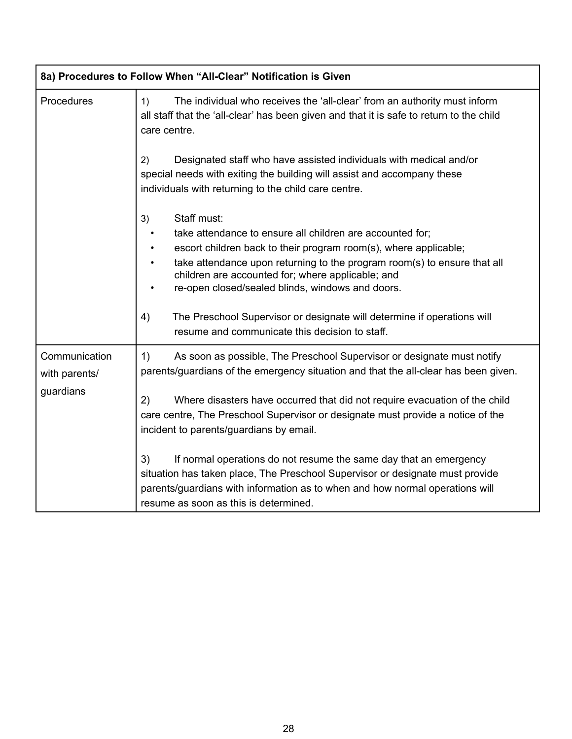|                                             | 8a) Procedures to Follow When "All-Clear" Notification is Given                                                                                                                                                                                                                                                                         |
|---------------------------------------------|-----------------------------------------------------------------------------------------------------------------------------------------------------------------------------------------------------------------------------------------------------------------------------------------------------------------------------------------|
| <b>Procedures</b>                           | The individual who receives the 'all-clear' from an authority must inform<br>1)<br>all staff that the 'all-clear' has been given and that it is safe to return to the child<br>care centre.                                                                                                                                             |
|                                             | Designated staff who have assisted individuals with medical and/or<br>2)<br>special needs with exiting the building will assist and accompany these<br>individuals with returning to the child care centre.                                                                                                                             |
|                                             | Staff must:<br>3)<br>take attendance to ensure all children are accounted for:<br>escort children back to their program room(s), where applicable;<br>take attendance upon returning to the program room(s) to ensure that all<br>children are accounted for; where applicable; and<br>re-open closed/sealed blinds, windows and doors. |
|                                             | The Preschool Supervisor or designate will determine if operations will<br>4)<br>resume and communicate this decision to staff.                                                                                                                                                                                                         |
| Communication<br>with parents/<br>guardians | 1)<br>As soon as possible, The Preschool Supervisor or designate must notify<br>parents/guardians of the emergency situation and that the all-clear has been given.                                                                                                                                                                     |
|                                             | 2)<br>Where disasters have occurred that did not require evacuation of the child<br>care centre, The Preschool Supervisor or designate must provide a notice of the<br>incident to parents/guardians by email.                                                                                                                          |
|                                             | 3)<br>If normal operations do not resume the same day that an emergency<br>situation has taken place, The Preschool Supervisor or designate must provide<br>parents/guardians with information as to when and how normal operations will<br>resume as soon as this is determined.                                                       |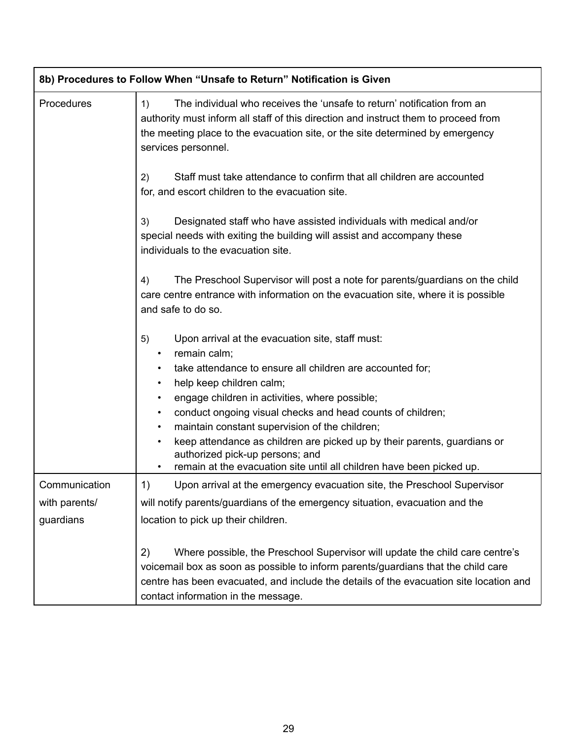|                                             | 8b) Procedures to Follow When "Unsafe to Return" Notification is Given                                                                                                                                                                                                                                                                                                                                                                                                                                                                                                        |  |  |
|---------------------------------------------|-------------------------------------------------------------------------------------------------------------------------------------------------------------------------------------------------------------------------------------------------------------------------------------------------------------------------------------------------------------------------------------------------------------------------------------------------------------------------------------------------------------------------------------------------------------------------------|--|--|
| Procedures                                  | The individual who receives the 'unsafe to return' notification from an<br>1)<br>authority must inform all staff of this direction and instruct them to proceed from<br>the meeting place to the evacuation site, or the site determined by emergency<br>services personnel.                                                                                                                                                                                                                                                                                                  |  |  |
|                                             | Staff must take attendance to confirm that all children are accounted<br>2)<br>for, and escort children to the evacuation site.                                                                                                                                                                                                                                                                                                                                                                                                                                               |  |  |
|                                             | Designated staff who have assisted individuals with medical and/or<br>3)<br>special needs with exiting the building will assist and accompany these<br>individuals to the evacuation site.                                                                                                                                                                                                                                                                                                                                                                                    |  |  |
|                                             | The Preschool Supervisor will post a note for parents/guardians on the child<br>4)<br>care centre entrance with information on the evacuation site, where it is possible<br>and safe to do so.                                                                                                                                                                                                                                                                                                                                                                                |  |  |
|                                             | Upon arrival at the evacuation site, staff must:<br>5)<br>remain calm;<br>$\bullet$<br>take attendance to ensure all children are accounted for;<br>help keep children calm;<br>$\bullet$<br>engage children in activities, where possible;<br>conduct ongoing visual checks and head counts of children;<br>$\bullet$<br>maintain constant supervision of the children;<br>$\bullet$<br>keep attendance as children are picked up by their parents, guardians or<br>authorized pick-up persons; and<br>remain at the evacuation site until all children have been picked up. |  |  |
| Communication<br>with parents/<br>guardians | 1)<br>Upon arrival at the emergency evacuation site, the Preschool Supervisor<br>will notify parents/guardians of the emergency situation, evacuation and the<br>location to pick up their children.                                                                                                                                                                                                                                                                                                                                                                          |  |  |
|                                             | 2)<br>Where possible, the Preschool Supervisor will update the child care centre's<br>voicemail box as soon as possible to inform parents/guardians that the child care<br>centre has been evacuated, and include the details of the evacuation site location and<br>contact information in the message.                                                                                                                                                                                                                                                                      |  |  |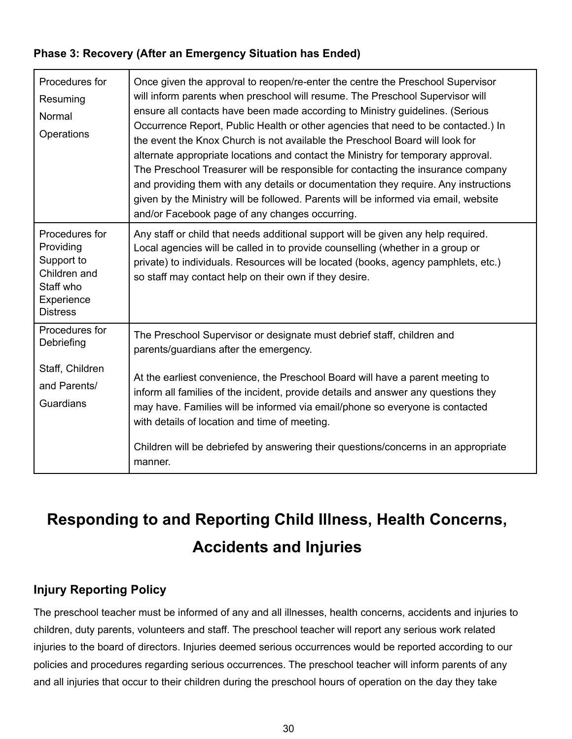#### <span id="page-30-0"></span>**Phase 3: Recovery (After an Emergency Situation has Ended)**

| Procedures for<br>Resuming<br>Normal<br>Operations                                                      | Once given the approval to reopen/re-enter the centre the Preschool Supervisor<br>will inform parents when preschool will resume. The Preschool Supervisor will<br>ensure all contacts have been made according to Ministry guidelines. (Serious<br>Occurrence Report, Public Health or other agencies that need to be contacted.) In<br>the event the Knox Church is not available the Preschool Board will look for<br>alternate appropriate locations and contact the Ministry for temporary approval.<br>The Preschool Treasurer will be responsible for contacting the insurance company<br>and providing them with any details or documentation they require. Any instructions<br>given by the Ministry will be followed. Parents will be informed via email, website<br>and/or Facebook page of any changes occurring. |
|---------------------------------------------------------------------------------------------------------|-------------------------------------------------------------------------------------------------------------------------------------------------------------------------------------------------------------------------------------------------------------------------------------------------------------------------------------------------------------------------------------------------------------------------------------------------------------------------------------------------------------------------------------------------------------------------------------------------------------------------------------------------------------------------------------------------------------------------------------------------------------------------------------------------------------------------------|
| Procedures for<br>Providing<br>Support to<br>Children and<br>Staff who<br>Experience<br><b>Distress</b> | Any staff or child that needs additional support will be given any help required.<br>Local agencies will be called in to provide counselling (whether in a group or<br>private) to individuals. Resources will be located (books, agency pamphlets, etc.)<br>so staff may contact help on their own if they desire.                                                                                                                                                                                                                                                                                                                                                                                                                                                                                                           |
| Procedures for<br>Debriefing<br>Staff, Children<br>and Parents/<br>Guardians                            | The Preschool Supervisor or designate must debrief staff, children and<br>parents/guardians after the emergency.<br>At the earliest convenience, the Preschool Board will have a parent meeting to<br>inform all families of the incident, provide details and answer any questions they<br>may have. Families will be informed via email/phone so everyone is contacted<br>with details of location and time of meeting.<br>Children will be debriefed by answering their questions/concerns in an appropriate<br>manner.                                                                                                                                                                                                                                                                                                    |

# <span id="page-30-1"></span>**Responding to and Reporting Child Illness, Health Concerns, Accidents and Injuries**

#### <span id="page-30-2"></span>**Injury Reporting Policy**

The preschool teacher must be informed of any and all illnesses, health concerns, accidents and injuries to children, duty parents, volunteers and staff. The preschool teacher will report any serious work related injuries to the board of directors. Injuries deemed serious occurrences would be reported according to our policies and procedures regarding serious occurrences. The preschool teacher will inform parents of any and all injuries that occur to their children during the preschool hours of operation on the day they take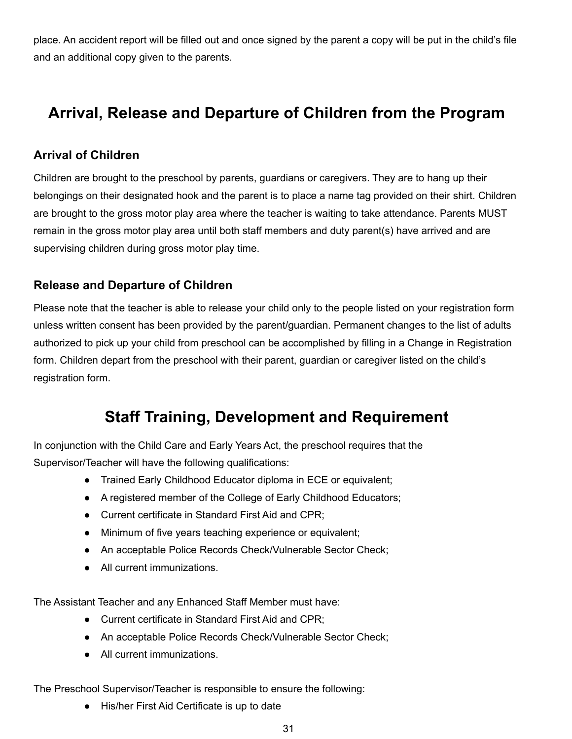place. An accident report will be filled out and once signed by the parent a copy will be put in the child's file and an additional copy given to the parents.

### <span id="page-31-0"></span>**Arrival, Release and Departure of Children from the Program**

#### <span id="page-31-1"></span>**Arrival of Children**

Children are brought to the preschool by parents, guardians or caregivers. They are to hang up their belongings on their designated hook and the parent is to place a name tag provided on their shirt. Children are brought to the gross motor play area where the teacher is waiting to take attendance. Parents MUST remain in the gross motor play area until both staff members and duty parent(s) have arrived and are supervising children during gross motor play time.

#### <span id="page-31-2"></span>**Release and Departure of Children**

Please note that the teacher is able to release your child only to the people listed on your registration form unless written consent has been provided by the parent/guardian. Permanent changes to the list of adults authorized to pick up your child from preschool can be accomplished by filling in a Change in Registration form. Children depart from the preschool with their parent, guardian or caregiver listed on the child's registration form.

### **Staff Training, Development and Requirement**

<span id="page-31-3"></span>In conjunction with the Child Care and Early Years Act, the preschool requires that the Supervisor/Teacher will have the following qualifications:

- Trained Early Childhood Educator diploma in ECE or equivalent;
- A registered member of the College of Early Childhood Educators;
- Current certificate in Standard First Aid and CPR:
- Minimum of five years teaching experience or equivalent;
- An acceptable Police Records Check/Vulnerable Sector Check;
- All current immunizations.

The Assistant Teacher and any Enhanced Staff Member must have:

- Current certificate in Standard First Aid and CPR;
- An acceptable Police Records Check/Vulnerable Sector Check;
- All current immunizations.

The Preschool Supervisor/Teacher is responsible to ensure the following:

● His/her First Aid Certificate is up to date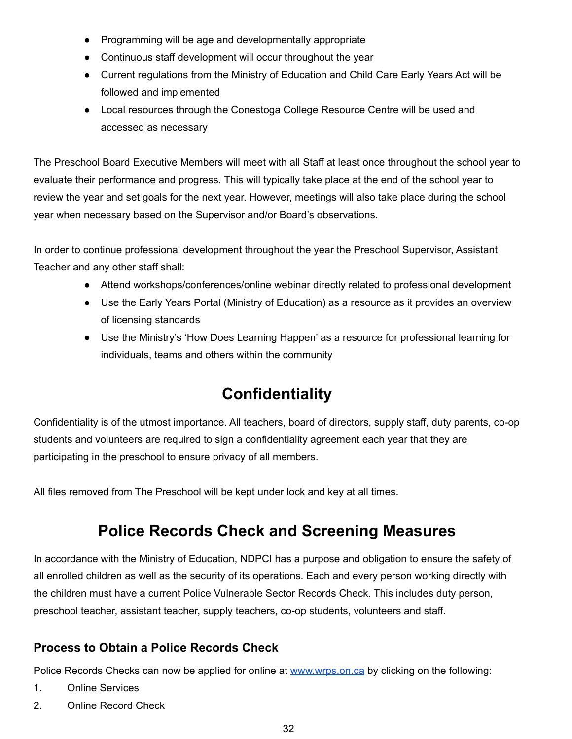- Programming will be age and developmentally appropriate
- Continuous staff development will occur throughout the year
- Current regulations from the Ministry of Education and Child Care Early Years Act will be followed and implemented
- Local resources through the Conestoga College Resource Centre will be used and accessed as necessary

The Preschool Board Executive Members will meet with all Staff at least once throughout the school year to evaluate their performance and progress. This will typically take place at the end of the school year to review the year and set goals for the next year. However, meetings will also take place during the school year when necessary based on the Supervisor and/or Board's observations.

In order to continue professional development throughout the year the Preschool Supervisor, Assistant Teacher and any other staff shall:

- Attend workshops/conferences/online webinar directly related to professional development
- Use the Early Years Portal (Ministry of Education) as a resource as it provides an overview of licensing standards
- Use the Ministry's 'How Does Learning Happen' as a resource for professional learning for individuals, teams and others within the community

### **Confidentiality**

<span id="page-32-0"></span>Confidentiality is of the utmost importance. All teachers, board of directors, supply staff, duty parents, co-op students and volunteers are required to sign a confidentiality agreement each year that they are participating in the preschool to ensure privacy of all members.

<span id="page-32-1"></span>All files removed from The Preschool will be kept under lock and key at all times.

### **Police Records Check and Screening Measures**

In accordance with the Ministry of Education, NDPCI has a purpose and obligation to ensure the safety of all enrolled children as well as the security of its operations. Each and every person working directly with the children must have a current Police Vulnerable Sector Records Check. This includes duty person, preschool teacher, assistant teacher, supply teachers, co-op students, volunteers and staff.

#### <span id="page-32-2"></span>**Process to Obtain a Police Records Check**

Police Records Checks can now be applied for online at [www.wrps.on.ca](http://www.wrps.on.ca/) by clicking on the following:

- 1. Online Services
- 2. Online Record Check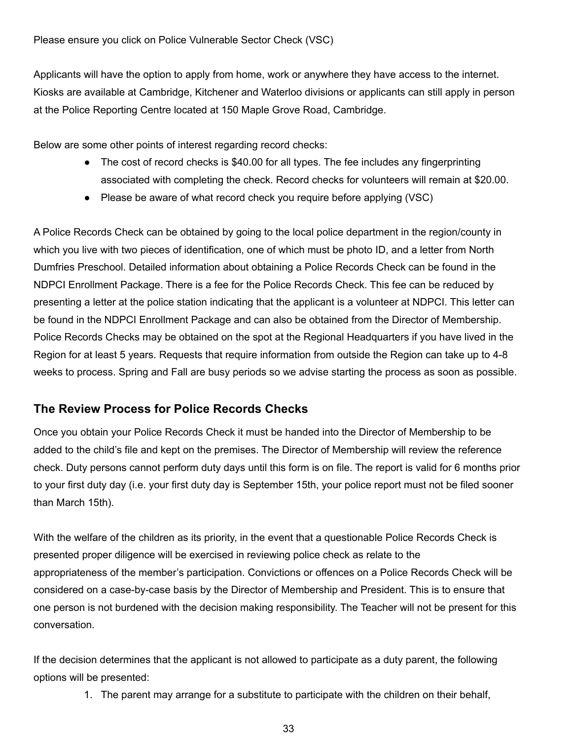Applicants will have the option to apply from home, work or anywhere they have access to the internet. Kiosks are available at Cambridge, Kitchener and Waterloo divisions or applicants can still apply in person at the Police Reporting Centre located at 150 Maple Grove Road, Cambridge.

Below are some other points of interest regarding record checks:

- The cost of record checks is \$40.00 for all types. The fee includes any fingerprinting associated with completing the check. Record checks for volunteers will remain at \$20.00.
- Please be aware of what record check you require before applying (VSC)

A Police Records Check can be obtained by going to the local police department in the region/county in which you live with two pieces of identification, one of which must be photo ID, and a letter from North Dumfries Preschool. Detailed information about obtaining a Police Records Check can be found in the NDPCI Enrollment Package. There is a fee for the Police Records Check. This fee can be reduced by presenting a letter at the police station indicating that the applicant is a volunteer at NDPCI. This letter can be found in the NDPCI Enrollment Package and can also be obtained from the Director of Membership. Police Records Checks may be obtained on the spot at the Regional Headquarters if you have lived in the Region for at least 5 years. Requests that require information from outside the Region can take up to 4-8 weeks to process. Spring and Fall are busy periods so we advise starting the process as soon as possible.

#### <span id="page-33-0"></span>**The Review Process for Police Records Checks**

Once you obtain your Police Records Check it must be handed into the Director of Membership to be added to the child's file and kept on the premises. The Director of Membership will review the reference check. Duty persons cannot perform duty days until this form is on file. The report is valid for 6 months prior to your first duty day (i.e. your first duty day is September 15th, your police report must not be filed sooner than March 15th).

With the welfare of the children as its priority, in the event that a questionable Police Records Check is presented proper diligence will be exercised in reviewing police check as relate to the appropriateness of the member's participation. Convictions or offences on a Police Records Check will be considered on a case-by-case basis by the Director of Membership and President. This is to ensure that one person is not burdened with the decision making responsibility. The Teacher will not be present for this conversation.

If the decision determines that the applicant is not allowed to participate as a duty parent, the following options will be presented:

1. The parent may arrange for a substitute to participate with the children on their behalf,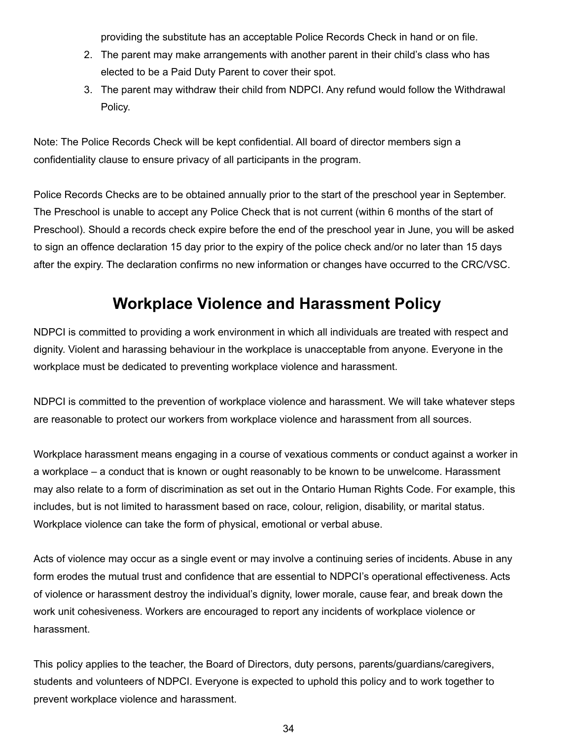providing the substitute has an acceptable Police Records Check in hand or on file.

- 2. The parent may make arrangements with another parent in their child's class who has elected to be a Paid Duty Parent to cover their spot.
- 3. The parent may withdraw their child from NDPCI. Any refund would follow the Withdrawal Policy.

Note: The Police Records Check will be kept confidential. All board of director members sign a confidentiality clause to ensure privacy of all participants in the program.

Police Records Checks are to be obtained annually prior to the start of the preschool year in September. The Preschool is unable to accept any Police Check that is not current (within 6 months of the start of Preschool). Should a records check expire before the end of the preschool year in June, you will be asked to sign an offence declaration 15 day prior to the expiry of the police check and/or no later than 15 days after the expiry. The declaration confirms no new information or changes have occurred to the CRC/VSC.

### **Workplace Violence and Harassment Policy**

<span id="page-34-0"></span>NDPCI is committed to providing a work environment in which all individuals are treated with respect and dignity. Violent and harassing behaviour in the workplace is unacceptable from anyone. Everyone in the workplace must be dedicated to preventing workplace violence and harassment.

NDPCI is committed to the prevention of workplace violence and harassment. We will take whatever steps are reasonable to protect our workers from workplace violence and harassment from all sources.

Workplace harassment means engaging in a course of vexatious comments or conduct against a worker in a workplace – a conduct that is known or ought reasonably to be known to be unwelcome. Harassment may also relate to a form of discrimination as set out in the Ontario Human Rights Code. For example, this includes, but is not limited to harassment based on race, colour, religion, disability, or marital status. Workplace violence can take the form of physical, emotional or verbal abuse.

Acts of violence may occur as a single event or may involve a continuing series of incidents. Abuse in any form erodes the mutual trust and confidence that are essential to NDPCI's operational effectiveness. Acts of violence or harassment destroy the individual's dignity, lower morale, cause fear, and break down the work unit cohesiveness. Workers are encouraged to report any incidents of workplace violence or harassment.

This policy applies to the teacher, the Board of Directors, duty persons, parents/guardians/caregivers, students and volunteers of NDPCI. Everyone is expected to uphold this policy and to work together to prevent workplace violence and harassment.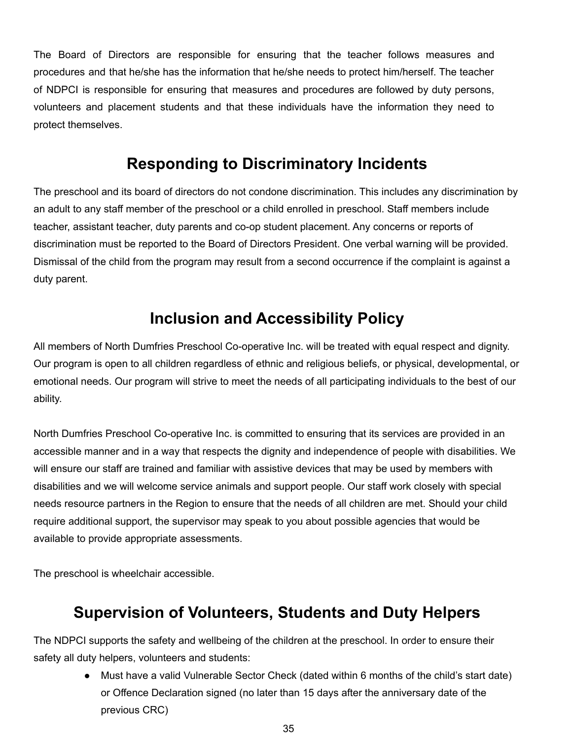The Board of Directors are responsible for ensuring that the teacher follows measures and procedures and that he/she has the information that he/she needs to protect him/herself. The teacher of NDPCI is responsible for ensuring that measures and procedures are followed by duty persons, volunteers and placement students and that these individuals have the information they need to protect themselves.

### **Responding to Discriminatory Incidents**

<span id="page-35-0"></span>The preschool and its board of directors do not condone discrimination. This includes any discrimination by an adult to any staff member of the preschool or a child enrolled in preschool. Staff members include teacher, assistant teacher, duty parents and co-op student placement. Any concerns or reports of discrimination must be reported to the Board of Directors President. One verbal warning will be provided. Dismissal of the child from the program may result from a second occurrence if the complaint is against a duty parent.

### **Inclusion and Accessibility Policy**

<span id="page-35-1"></span>All members of North Dumfries Preschool Co-operative Inc. will be treated with equal respect and dignity. Our program is open to all children regardless of ethnic and religious beliefs, or physical, developmental, or emotional needs. Our program will strive to meet the needs of all participating individuals to the best of our ability.

North Dumfries Preschool Co-operative Inc. is committed to ensuring that its services are provided in an accessible manner and in a way that respects the dignity and independence of people with disabilities. We will ensure our staff are trained and familiar with assistive devices that may be used by members with disabilities and we will welcome service animals and support people. Our staff work closely with special needs resource partners in the Region to ensure that the needs of all children are met. Should your child require additional support, the supervisor may speak to you about possible agencies that would be available to provide appropriate assessments.

<span id="page-35-2"></span>The preschool is wheelchair accessible.

### **Supervision of Volunteers, Students and Duty Helpers**

The NDPCI supports the safety and wellbeing of the children at the preschool. In order to ensure their safety all duty helpers, volunteers and students:

> ● Must have a valid Vulnerable Sector Check (dated within 6 months of the child's start date) or Offence Declaration signed (no later than 15 days after the anniversary date of the previous CRC)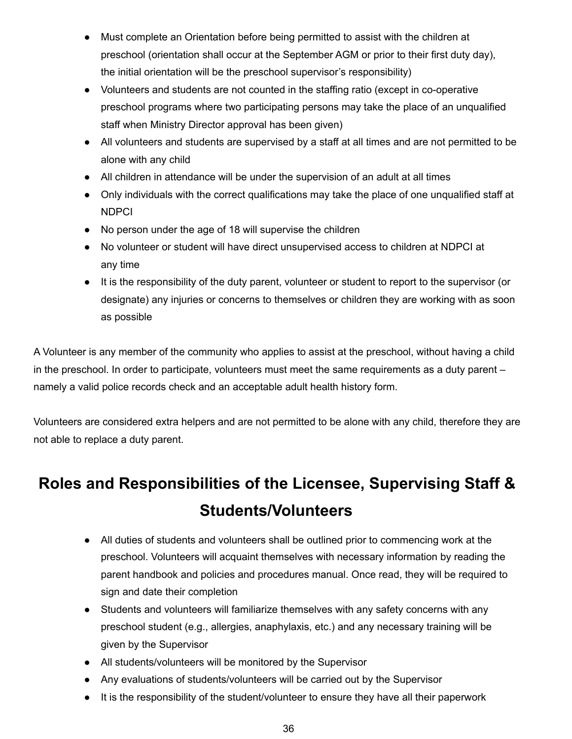- Must complete an Orientation before being permitted to assist with the children at preschool (orientation shall occur at the September AGM or prior to their first duty day), the initial orientation will be the preschool supervisor's responsibility)
- Volunteers and students are not counted in the staffing ratio (except in co-operative preschool programs where two participating persons may take the place of an unqualified staff when Ministry Director approval has been given)
- All volunteers and students are supervised by a staff at all times and are not permitted to be alone with any child
- All children in attendance will be under the supervision of an adult at all times
- Only individuals with the correct qualifications may take the place of one unqualified staff at **NDPCI**
- No person under the age of 18 will supervise the children
- No volunteer or student will have direct unsupervised access to children at NDPCI at any time
- It is the responsibility of the duty parent, volunteer or student to report to the supervisor (or designate) any injuries or concerns to themselves or children they are working with as soon as possible

A Volunteer is any member of the community who applies to assist at the preschool, without having a child in the preschool. In order to participate, volunteers must meet the same requirements as a duty parent – namely a valid police records check and an acceptable adult health history form.

Volunteers are considered extra helpers and are not permitted to be alone with any child, therefore they are not able to replace a duty parent.

## <span id="page-36-0"></span>**Roles and Responsibilities of the Licensee, Supervising Staff & Students/Volunteers**

- All duties of students and volunteers shall be outlined prior to commencing work at the preschool. Volunteers will acquaint themselves with necessary information by reading the parent handbook and policies and procedures manual. Once read, they will be required to sign and date their completion
- Students and volunteers will familiarize themselves with any safety concerns with any preschool student (e.g., allergies, anaphylaxis, etc.) and any necessary training will be given by the Supervisor
- All students/volunteers will be monitored by the Supervisor
- Any evaluations of students/volunteers will be carried out by the Supervisor
- It is the responsibility of the student/volunteer to ensure they have all their paperwork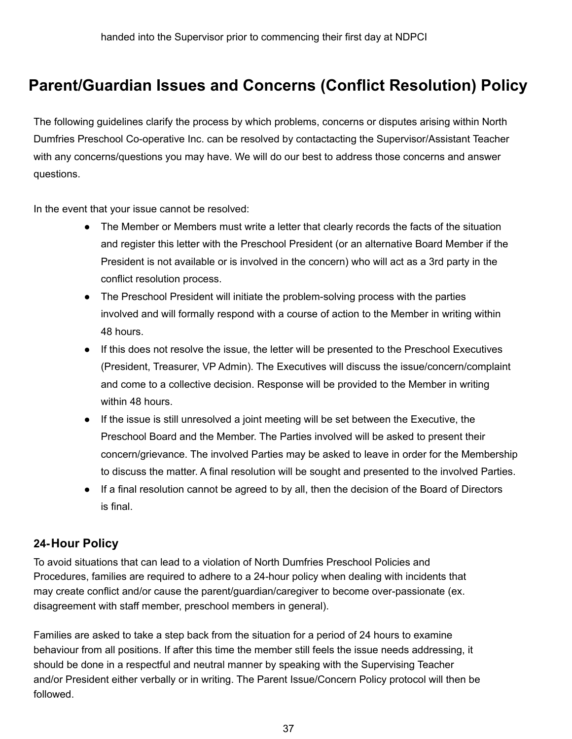### **Parent/Guardian Issues and Concerns (Conflict Resolution) Policy**

The following guidelines clarify the process by which problems, concerns or disputes arising within North Dumfries Preschool Co-operative Inc. can be resolved by contactacting the Supervisor/Assistant Teacher with any concerns/questions you may have. We will do our best to address those concerns and answer questions.

In the event that your issue cannot be resolved:

- The Member or Members must write a letter that clearly records the facts of the situation and register this letter with the Preschool President (or an alternative Board Member if the President is not available or is involved in the concern) who will act as a 3rd party in the conflict resolution process.
- The Preschool President will initiate the problem-solving process with the parties involved and will formally respond with a course of action to the Member in writing within 48 hours.
- If this does not resolve the issue, the letter will be presented to the Preschool Executives (President, Treasurer, VP Admin). The Executives will discuss the issue/concern/complaint and come to a collective decision. Response will be provided to the Member in writing within 48 hours.
- If the issue is still unresolved a joint meeting will be set between the Executive, the Preschool Board and the Member. The Parties involved will be asked to present their concern/grievance. The involved Parties may be asked to leave in order for the Membership to discuss the matter. A final resolution will be sought and presented to the involved Parties.
- If a final resolution cannot be agreed to by all, then the decision of the Board of Directors is final.

#### <span id="page-37-0"></span>**24-Hour Policy**

To avoid situations that can lead to a violation of North Dumfries Preschool Policies and Procedures, families are required to adhere to a 24-hour policy when dealing with incidents that may create conflict and/or cause the parent/guardian/caregiver to become over-passionate (ex. disagreement with staff member, preschool members in general).

Families are asked to take a step back from the situation for a period of 24 hours to examine behaviour from all positions. If after this time the member still feels the issue needs addressing, it should be done in a respectful and neutral manner by speaking with the Supervising Teacher and/or President either verbally or in writing. The Parent Issue/Concern Policy protocol will then be followed.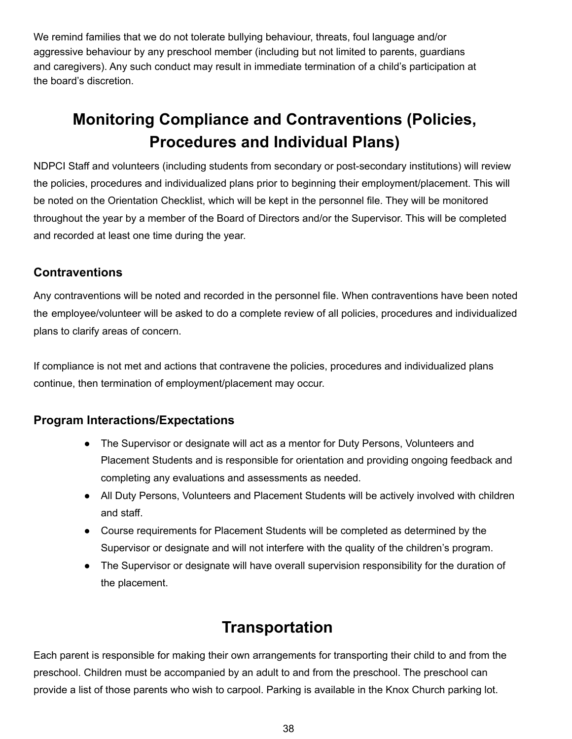We remind families that we do not tolerate bullying behaviour, threats, foul language and/or aggressive behaviour by any preschool member (including but not limited to parents, guardians and caregivers). Any such conduct may result in immediate termination of a child's participation at the board's discretion.

### **Monitoring Compliance and Contraventions (Policies, Procedures and Individual Plans)**

NDPCI Staff and volunteers (including students from secondary or post-secondary institutions) will review the policies, procedures and individualized plans prior to beginning their employment/placement. This will be noted on the Orientation Checklist, which will be kept in the personnel file. They will be monitored throughout the year by a member of the Board of Directors and/or the Supervisor. This will be completed and recorded at least one time during the year.

#### <span id="page-38-0"></span>**Contraventions**

Any contraventions will be noted and recorded in the personnel file. When contraventions have been noted the employee/volunteer will be asked to do a complete review of all policies, procedures and individualized plans to clarify areas of concern.

If compliance is not met and actions that contravene the policies, procedures and individualized plans continue, then termination of employment/placement may occur.

#### <span id="page-38-1"></span>**Program Interactions/Expectations**

- The Supervisor or designate will act as a mentor for Duty Persons, Volunteers and Placement Students and is responsible for orientation and providing ongoing feedback and completing any evaluations and assessments as needed.
- All Duty Persons, Volunteers and Placement Students will be actively involved with children and staff.
- Course requirements for Placement Students will be completed as determined by the Supervisor or designate and will not interfere with the quality of the children's program.
- The Supervisor or designate will have overall supervision responsibility for the duration of the placement.

### **Transportation**

<span id="page-38-2"></span>Each parent is responsible for making their own arrangements for transporting their child to and from the preschool. Children must be accompanied by an adult to and from the preschool. The preschool can provide a list of those parents who wish to carpool. Parking is available in the Knox Church parking lot.